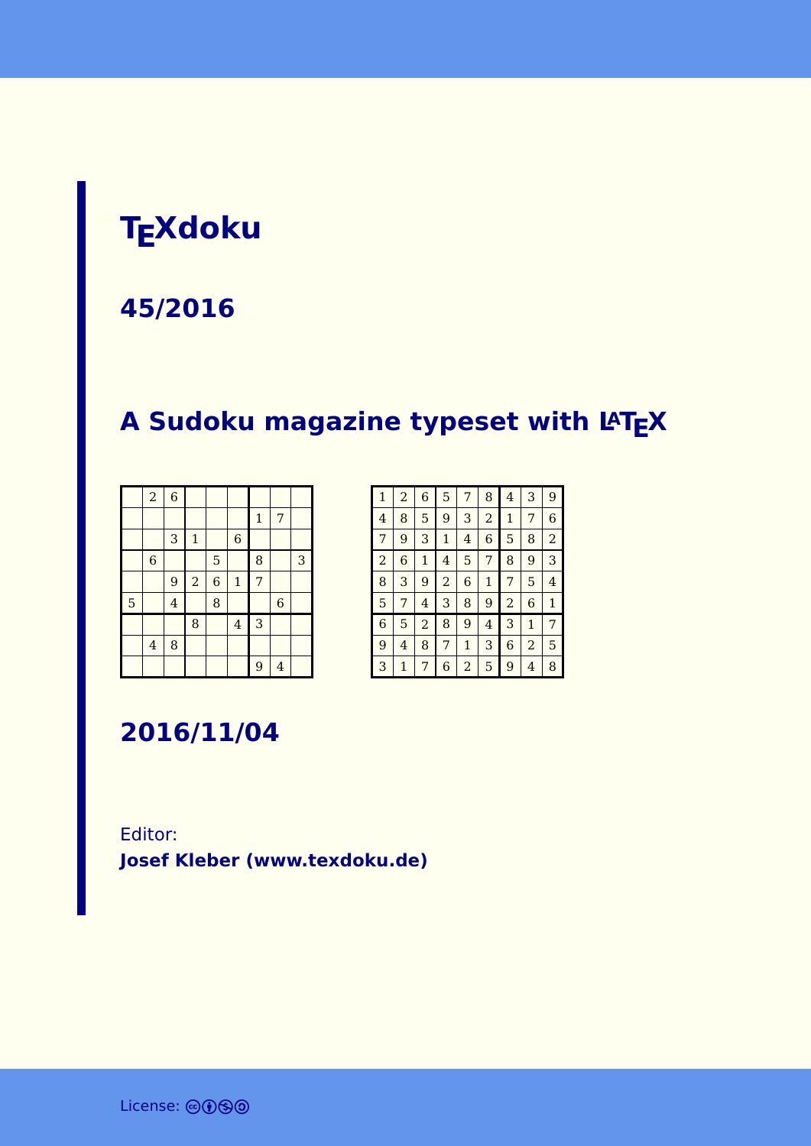### **TEXdoku**

#### **45/2016**

### **A Sudoku magazine typeset with LATEX**

|   | $\boldsymbol{2}$        | $\overline{6}$ |                |                |                |              |                |   |
|---|-------------------------|----------------|----------------|----------------|----------------|--------------|----------------|---|
|   |                         |                |                |                |                | $\mathbf{1}$ | 7              |   |
|   |                         | 3              | $\mathbf 1$    |                | $\,$ 6 $\,$    |              |                |   |
|   | $\,$ 6 $\,$             |                |                | 5              |                | 8            |                | 3 |
|   |                         | 9              | $\overline{a}$ | $\overline{6}$ | $\mathbf 1$    | 7            |                |   |
| 5 |                         | $\overline{4}$ |                | 8              |                |              | $\overline{6}$ |   |
|   |                         |                | 8              |                | $\overline{4}$ | 3            |                |   |
|   | $\overline{\mathbf{4}}$ | 8              |                |                |                |              |                |   |
|   |                         |                |                |                |                | 9            | $\overline{4}$ |   |

| $\mathbf{1}$   | $\overline{a}$ | 6            | 5              | 7            | 8            | 4              | 3              | 9              |
|----------------|----------------|--------------|----------------|--------------|--------------|----------------|----------------|----------------|
| $\overline{4}$ | 8              | 5            | 9              | 3            | 2            | 1              | 7              | 6              |
| 7              | 9              | 3            | $\mathbf{1}$   | 4            | 6            | 5              | 8              | $\overline{2}$ |
| $\overline{a}$ | 6              | $\mathbf{1}$ | 4              | 5            | 7            | 8              | 9              | 3              |
| 8              | 3              | 9            | $\overline{2}$ | 6            | $\mathbf{1}$ | 7              | 5              | 4              |
| 5              | 7              | 4            | 3              | 8            | 9            | $\overline{a}$ | 6              | $\mathbf{1}$   |
| 6              | 5              | 2            | 8              | 9            | 4            | 3              | $\mathbf{1}$   | 7              |
| 9              | 4              | 8            | 7              | $\mathbf{1}$ | 3            | 6              | $\overline{2}$ | 5              |
| 3              | 1              | 7            | 6              | 2            | 5            | 9              | 4              | 8              |

**2016/11/04**

#### Editor: **[Josef Kleber \(www.texdoku.de\)](mailto:texdoku@texdoku.de)**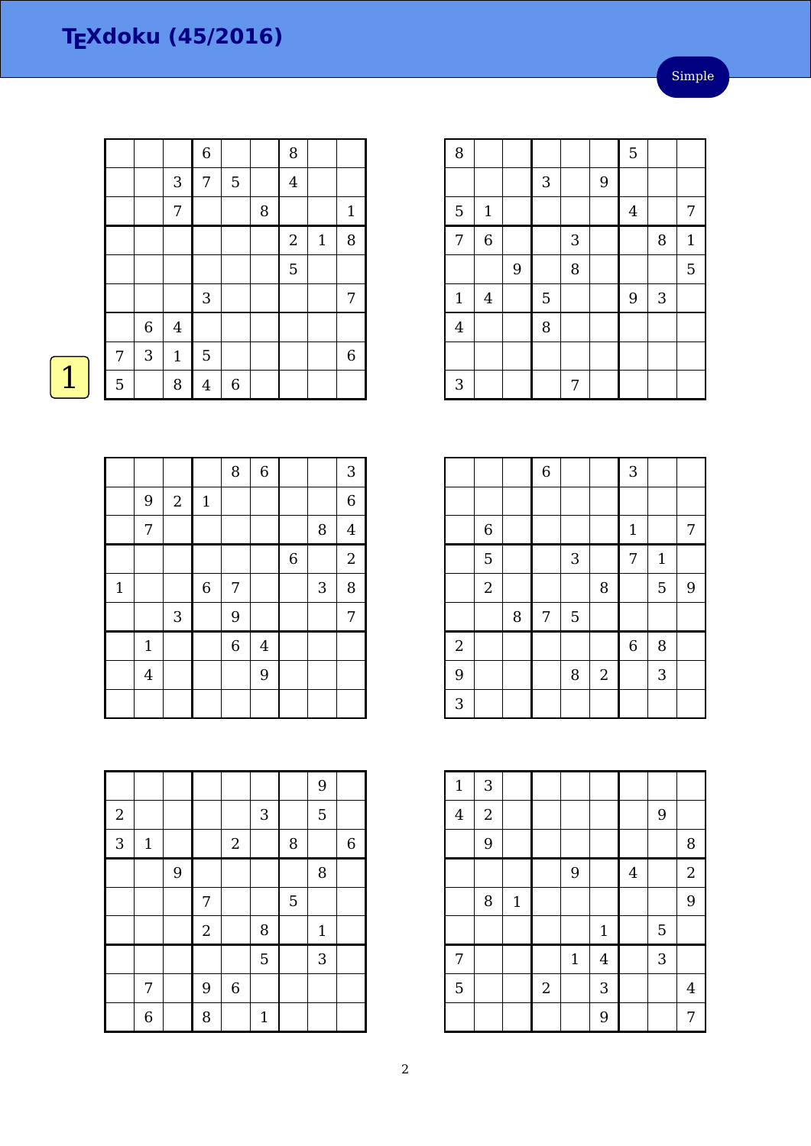|                |             |                | $\overline{6}$ |             |        | 8          |       |              |
|----------------|-------------|----------------|----------------|-------------|--------|------------|-------|--------------|
|                |             | 3              | 7              | 5           |        | $\bf 4$    |       |              |
|                |             | 7              |                |             | $\, 8$ |            |       | $\mathbf{1}$ |
|                |             |                |                |             |        | $\sqrt{2}$ | $1\,$ | 8            |
|                |             |                |                |             |        | 5          |       |              |
|                |             |                | $\mathbf{3}$   |             |        |            |       | 7            |
|                | $\,$ 6 $\,$ | $\overline{4}$ |                |             |        |            |       |              |
| 7              | 3           | $\mathbf 1$    | $\overline{5}$ |             |        |            |       | 6            |
| $\overline{5}$ |             | $\, 8$         | $\overline{4}$ | $\,$ 6 $\,$ |        |            |       |              |

| 8              |                         |   |   |   |   | 5              |              |              |
|----------------|-------------------------|---|---|---|---|----------------|--------------|--------------|
|                |                         |   | 3 |   | 9 |                |              |              |
| 5              | $\mathbf 1$             |   |   |   |   | $\overline{4}$ |              | 7            |
| 7              | $\overline{6}$          |   |   | 3 |   |                | 8            | $\mathbf{1}$ |
|                |                         | 9 |   | 8 |   |                |              | 5            |
| $\mathbf 1$    | $\overline{\mathbf{4}}$ |   | 5 |   |   | $\overline{9}$ | $\mathbf{3}$ |              |
| $\overline{4}$ |                         |   | 8 |   |   |                |              |              |
|                |                         |   |   |   |   |                |              |              |
| 3              |                         |   |   | 7 |   |                |              |              |

I

|                |                |   | $\overline{6}$ |   |            | 3              |              |                |
|----------------|----------------|---|----------------|---|------------|----------------|--------------|----------------|
|                |                |   |                |   |            |                |              |                |
|                | $\overline{6}$ |   |                |   |            | $\mathbf{1}$   |              | 7              |
|                | 5              |   |                | 3 |            | 7              | $\mathbf{1}$ |                |
|                | $\overline{2}$ |   |                |   | 8          |                | 5            | $\overline{9}$ |
|                |                | 8 | 7              | 5 |            |                |              |                |
| $\overline{a}$ |                |   |                |   |            | $\overline{6}$ | 8            |                |
| 9              |                |   |                | 8 | $\sqrt{2}$ |                | 3            |                |
| 3              |                |   |                |   |            |                |              |                |

| $\mathbf{1}$   | 3              |              |                |             |              |         |   |                |
|----------------|----------------|--------------|----------------|-------------|--------------|---------|---|----------------|
| $\overline{4}$ | $\overline{2}$ |              |                |             |              |         | 9 |                |
|                | 9              |              |                |             |              |         |   | 8              |
|                |                |              |                | 9           |              | $\bf 4$ |   | $\overline{2}$ |
|                | 8              | $\mathbf{1}$ |                |             |              |         |   | 9              |
|                |                |              |                |             | $\mathbf{1}$ |         | 5 |                |
| 7              |                |              |                | $\mathbf 1$ | $\bf 4$      |         | 3 |                |
| $\overline{5}$ |                |              | $\overline{a}$ |             | 3            |         |   | 4              |
|                |                |              |                |             | 9            |         |   | 7              |

|             |                |            |                | 8 | $\overline{6}$ |                |                           | $\mathbf{3}$   |
|-------------|----------------|------------|----------------|---|----------------|----------------|---------------------------|----------------|
|             | 9              | $\sqrt{2}$ | $\mathbf 1$    |   |                |                |                           | $\,$ 6 $\,$    |
|             | 7              |            |                |   |                |                | $\, 8$                    | $\overline{4}$ |
|             |                |            |                |   |                | $\overline{6}$ |                           | $\overline{2}$ |
| $\mathbf 1$ |                |            | $\overline{6}$ | 7 |                |                | $\ensuremath{\mathsf{3}}$ | $\, 8$         |
|             |                | 3          |                | 9 |                |                |                           | 7              |
|             | $\mathbf{1}$   |            |                | 6 | $\overline{4}$ |                |                           |                |
|             | $\overline{4}$ |            |                |   | 9              |                |                           |                |
|             |                |            |                |   |                |                |                           |                |

|            |              |   |            |             |              |   | 9            |   |
|------------|--------------|---|------------|-------------|--------------|---|--------------|---|
| $\sqrt{2}$ |              |   |            |             | 3            |   | 5            |   |
| 3          | $\mathbf{1}$ |   |            | $\sqrt{2}$  |              | 8 |              | 6 |
|            |              | 9 |            |             |              |   | 8            |   |
|            |              |   | 7          |             |              | 5 |              |   |
|            |              |   | $\sqrt{2}$ |             | 8            |   | $\mathbf{1}$ |   |
|            |              |   |            |             | 5            |   | 3            |   |
|            | 7            |   | 9          | $\,$ 6 $\,$ |              |   |              |   |
|            | 6            |   | 8          |             | $\mathbf{1}$ |   |              |   |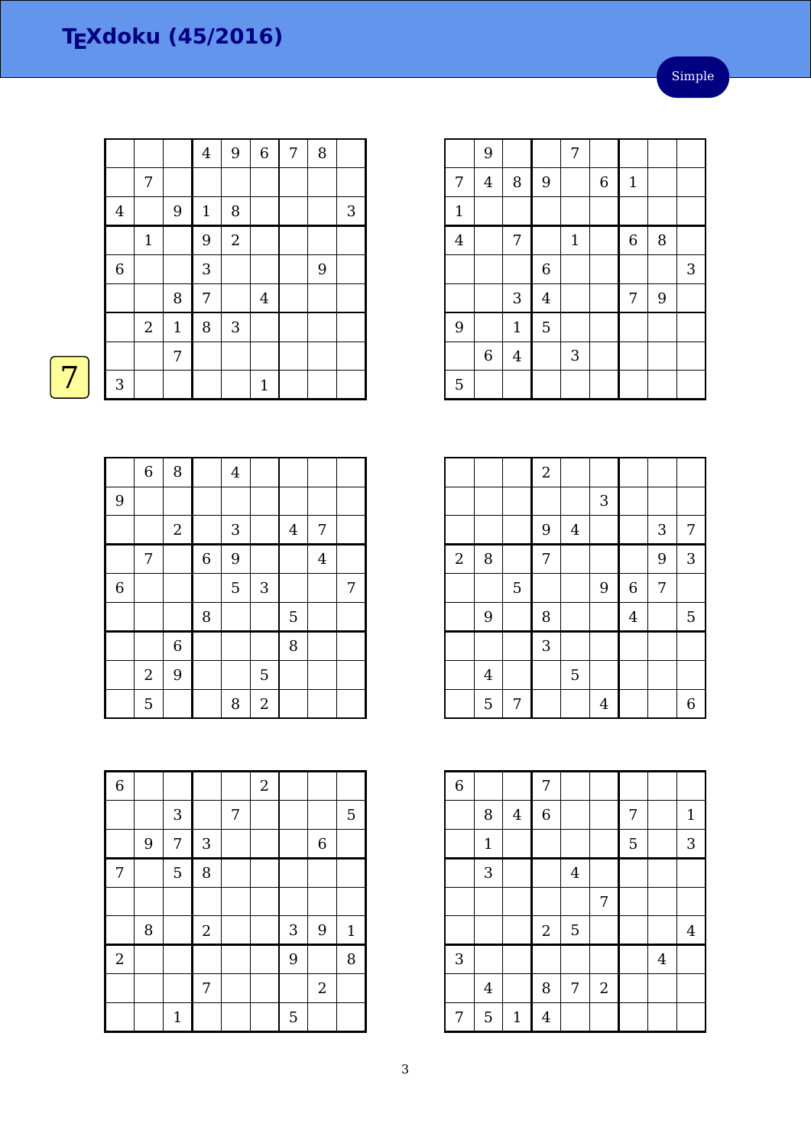|                |                |              | $\overline{4}$ | 9              | $\,$ 6 $\,$    | $\overline{7}$ | 8 |            |
|----------------|----------------|--------------|----------------|----------------|----------------|----------------|---|------------|
|                | $\overline{7}$ |              |                |                |                |                |   |            |
| $\bf 4$        |                | 9            | $\mathbf 1$    | 8              |                |                |   | $\sqrt{3}$ |
|                | $\mathbf 1$    |              | 9              | $\overline{2}$ |                |                |   |            |
| $\overline{6}$ |                |              | 3              |                |                |                | 9 |            |
|                |                | 8            | 7              |                | $\overline{4}$ |                |   |            |
|                | $\sqrt{2}$     | $\mathbf{1}$ | 8              | 3              |                |                |   |            |
|                |                | 7            |                |                |                |                |   |            |
| 3              |                |              |                |                | $1\,$          |                |   |            |

|                | 9              |                |                | 7            |                |             |   |   |
|----------------|----------------|----------------|----------------|--------------|----------------|-------------|---|---|
| 7              | $\overline{4}$ | 8              | $\overline{9}$ |              | $\overline{6}$ | $\mathbf 1$ |   |   |
| $\mathbf{1}$   |                |                |                |              |                |             |   |   |
| $\overline{4}$ |                | 7              |                | $\mathbf{1}$ |                | $\,$ 6 $\,$ | 8 |   |
|                |                |                | $\overline{6}$ |              |                |             |   | 3 |
|                |                | 3              | $\overline{4}$ |              |                | 7           | 9 |   |
| 9              |                | $\mathbf{1}$   | $\overline{5}$ |              |                |             |   |   |
|                | $\,6$          | $\overline{4}$ |                | 3            |                |             |   |   |
| 5              |                |                |                |              |                |             |   |   |

|                |                |   | $\overline{2}$ |                  |                |                  |                |                |
|----------------|----------------|---|----------------|------------------|----------------|------------------|----------------|----------------|
|                |                |   |                |                  | 3              |                  |                |                |
|                |                |   | 9              | $\boldsymbol{4}$ |                |                  | 3              | 7              |
| $\overline{2}$ | 8              |   | $\overline{7}$ |                  |                |                  | 9              | 3              |
|                |                | 5 |                |                  | 9              | $\boldsymbol{6}$ | $\overline{7}$ |                |
|                | 9              |   | 8              |                  |                | $\overline{4}$   |                | $\overline{5}$ |
|                |                |   | 3              |                  |                |                  |                |                |
|                | $\overline{4}$ |   |                | 5                |                |                  |                |                |
|                | 5              | 7 |                |                  | $\overline{4}$ |                  |                | 6              |

| $\overline{6}$ |                |              | 7              |                |            |   |                |                |
|----------------|----------------|--------------|----------------|----------------|------------|---|----------------|----------------|
|                | 8              | $\bf 4$      | $\,$ 6 $\,$    |                |            | 7 |                | $\mathbf{1}$   |
|                | $\mathbf 1$    |              |                |                |            | 5 |                | 3              |
|                | 3              |              |                | $\overline{4}$ |            |   |                |                |
|                |                |              |                |                | 7          |   |                |                |
|                |                |              | $\sqrt{2}$     | 5              |            |   |                | $\overline{4}$ |
| 3              |                |              |                |                |            |   | $\overline{4}$ |                |
|                | $\overline{4}$ |              | 8              | 7              | $\sqrt{2}$ |   |                |                |
| 7              | 5              | $\mathbf{1}$ | $\overline{4}$ |                |            |   |                |                |

|                | $\overline{6}$   | 8              |                  | $\overline{4}$ |                |         |                |   |
|----------------|------------------|----------------|------------------|----------------|----------------|---------|----------------|---|
| 9              |                  |                |                  |                |                |         |                |   |
|                |                  | $\overline{2}$ |                  | $\sqrt{3}$     |                | $\bf 4$ | 7              |   |
|                | 7                |                | $\boldsymbol{6}$ | 9              |                |         | $\overline{4}$ |   |
| $\overline{6}$ |                  |                |                  | 5              | 3              |         |                | 7 |
|                |                  |                | 8                |                |                | 5       |                |   |
|                |                  | $\,$ 6 $\,$    |                  |                |                | 8       |                |   |
|                | $\boldsymbol{2}$ | 9              |                  |                | 5              |         |                |   |
|                | 5                |                |                  | 8              | $\overline{a}$ |         |                |   |

| $\overline{6}$ |   |              |            |                | $\sqrt{2}$ |            |                |              |
|----------------|---|--------------|------------|----------------|------------|------------|----------------|--------------|
|                |   | 3            |            | $\overline{7}$ |            |            |                | 5            |
|                | 9 | 7            | 3          |                |            |            | $\,$ 6 $\,$    |              |
| 7              |   | 5            | 8          |                |            |            |                |              |
|                |   |              |            |                |            |            |                |              |
|                | 8 |              | $\sqrt{2}$ |                |            | $\sqrt{3}$ | 9              | $\mathbf{1}$ |
| $\overline{2}$ |   |              |            |                |            | 9          |                | 8            |
|                |   |              | 7          |                |            |            | $\overline{2}$ |              |
|                |   | $\mathbf{1}$ |            |                |            | 5          |                |              |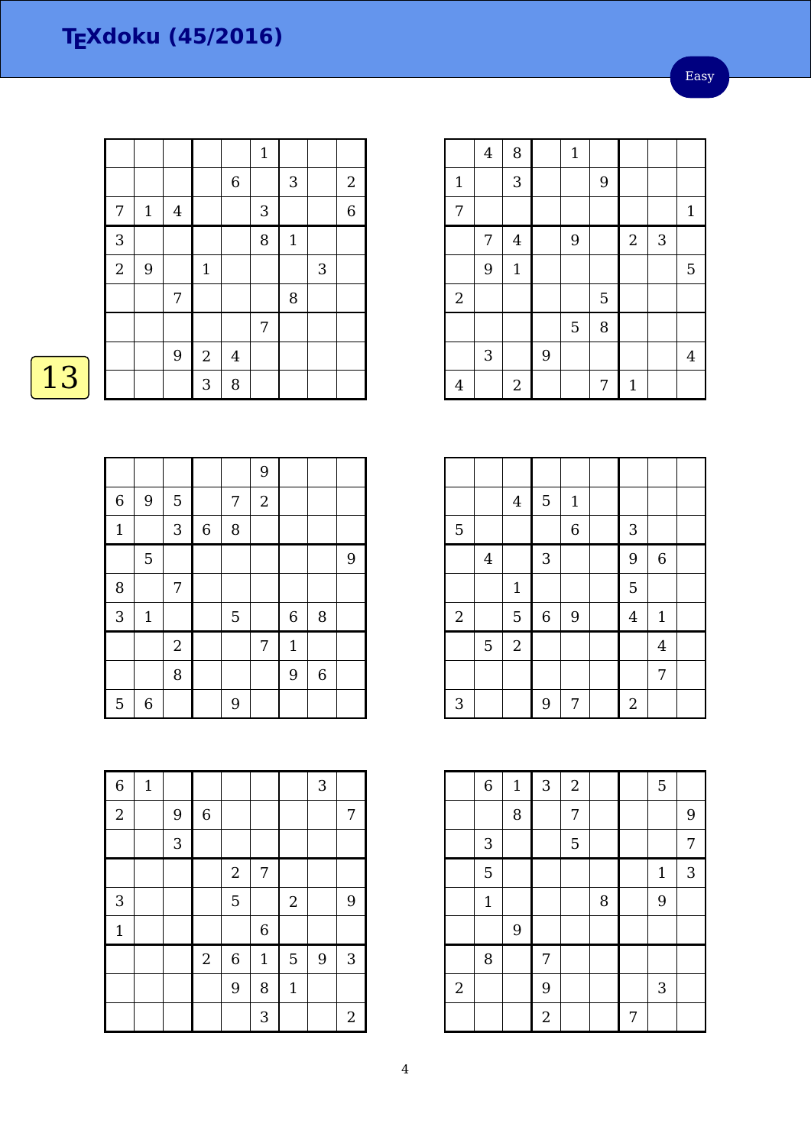Easy

|                |              |         |                |                  | $\mathbf{1}$ |             |              |                  |
|----------------|--------------|---------|----------------|------------------|--------------|-------------|--------------|------------------|
|                |              |         |                | $\boldsymbol{6}$ |              | 3           |              | $\boldsymbol{2}$ |
| 7              | $\mathbf{1}$ | $\bf 4$ |                |                  | 3            |             |              | $\overline{6}$   |
| 3              |              |         |                |                  | 8            | $\mathbf 1$ |              |                  |
| $\overline{a}$ | 9            |         | $\mathbf 1$    |                  |              |             | $\mathbf{3}$ |                  |
|                |              | 7       |                |                  |              | 8           |              |                  |
|                |              |         |                |                  | 7            |             |              |                  |
|                |              | 9       | $\overline{c}$ | $\overline{4}$   |              |             |              |                  |
|                |              |         | 3              | 8                |              |             |              |                  |

# $\boxed{13}$

|                  |                |                |             |   | 9          |              |                  |   |
|------------------|----------------|----------------|-------------|---|------------|--------------|------------------|---|
| $\boldsymbol{6}$ | 9              | $\mathbf 5$    |             | 7 | $\sqrt{2}$ |              |                  |   |
| $\mathbf{1}$     |                | 3              | $\,$ 6 $\,$ | 8 |            |              |                  |   |
|                  | $\overline{5}$ |                |             |   |            |              |                  | 9 |
| 8                |                | 7              |             |   |            |              |                  |   |
| $\overline{3}$   | $1\,$          |                |             | 5 |            | 6            | 8                |   |
|                  |                | $\overline{2}$ |             |   | 7          | $\mathbf{1}$ |                  |   |
|                  |                | 8              |             |   |            | 9            | $\boldsymbol{6}$ |   |
| 5                | $\,$ 6 $\,$    |                |             | 9 |            |              |                  |   |

| $\overline{6}$ | $1\,$ |   |             |                  |                |              | 3 |            |
|----------------|-------|---|-------------|------------------|----------------|--------------|---|------------|
| $\overline{2}$ |       | 9 | $\,$ 6 $\,$ |                  |                |              |   | 7          |
|                |       | 3 |             |                  |                |              |   |            |
|                |       |   |             | $\boldsymbol{2}$ | 7              |              |   |            |
| 3              |       |   |             | 5                |                | $\sqrt{2}$   |   | 9          |
| $\mathbf{1}$   |       |   |             |                  | $\overline{6}$ |              |   |            |
|                |       |   | $\sqrt{2}$  | $\boldsymbol{6}$ | $\mathbf{1}$   | 5            | 9 | 3          |
|                |       |   |             | 9                | 8              | $\mathbf{1}$ |   |            |
|                |       |   |             |                  | 3              |              |   | $\sqrt{2}$ |

|                | $\overline{4}$ | 8              |   | $\mathbf{1}$ |   |             |   |              |
|----------------|----------------|----------------|---|--------------|---|-------------|---|--------------|
| $\mathbf{1}$   |                | 3              |   |              | 9 |             |   |              |
| 7              |                |                |   |              |   |             |   | $\mathbf{1}$ |
|                | 7              | $\overline{4}$ |   | 9            |   | $\sqrt{2}$  | 3 |              |
|                | 9              | $\mathbf{1}$   |   |              |   |             |   | 5            |
| $\overline{2}$ |                |                |   |              | 5 |             |   |              |
|                |                |                |   | 5            | 8 |             |   |              |
|                | 3              |                | 9 |              |   |             |   | 4            |
| $\overline{4}$ |                | $\overline{2}$ |   |              | 7 | $\mathbf 1$ |   |              |

|            |                | $\bf 4$        | $\overline{5}$            | $\mathbf{1}$   |                |                |  |
|------------|----------------|----------------|---------------------------|----------------|----------------|----------------|--|
| 5          |                |                |                           | $\overline{6}$ | 3              |                |  |
|            | $\overline{4}$ |                | $\ensuremath{\mathsf{3}}$ |                | 9              | $\,6$          |  |
|            |                | $\mathbf 1$    |                           |                | 5              |                |  |
| $\sqrt{2}$ |                | 5              | $\boldsymbol{6}$          | 9              | $\overline{4}$ | $1\,$          |  |
|            | $\overline{5}$ | $\overline{a}$ |                           |                |                | $\overline{4}$ |  |
|            |                |                |                           |                |                | $\overline{7}$ |  |
| 3          |                |                | 9                         | 7              | $\overline{2}$ |                |  |

|            | $\overline{6}$ | $\mathbf{1}$ | $\overline{3}$ | $\overline{2}$ |   |   | 5            |                |
|------------|----------------|--------------|----------------|----------------|---|---|--------------|----------------|
|            |                | 8            |                | 7              |   |   |              | 9              |
|            | 3              |              |                | 5              |   |   |              | $\overline{7}$ |
|            | 5              |              |                |                |   |   | $\mathbf{1}$ | 3              |
|            | $\mathbf 1$    |              |                |                | 8 |   | 9            |                |
|            |                | 9            |                |                |   |   |              |                |
|            | 8              |              | 7              |                |   |   |              |                |
| $\sqrt{2}$ |                |              | 9              |                |   |   | 3            |                |
|            |                |              | $\overline{2}$ |                |   | 7 |              |                |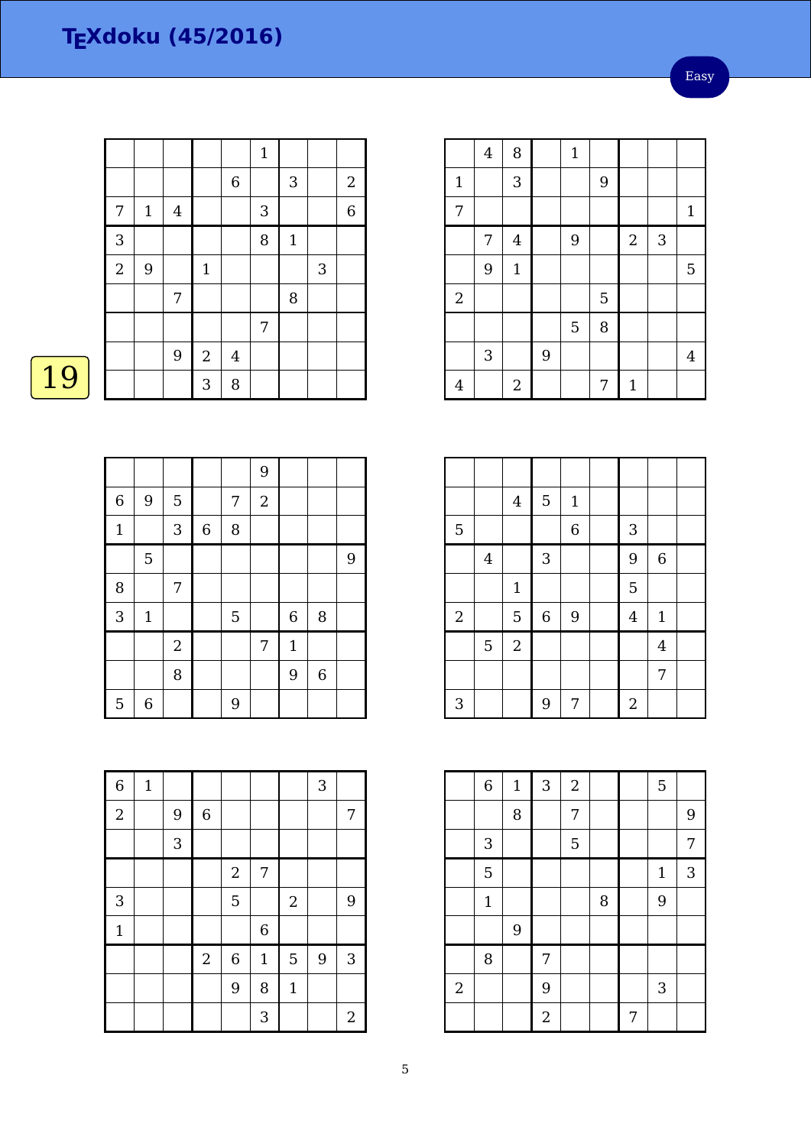Easy

|                |                  |                |              |                         | $\mathbf{1}$ |        |              |                         |
|----------------|------------------|----------------|--------------|-------------------------|--------------|--------|--------------|-------------------------|
|                |                  |                |              | $\,$ 6 $\,$             |              | 3      |              | $\overline{\mathbf{c}}$ |
| 7              | $\mathbf{1}$     | $\overline{4}$ |              |                         | 3            |        |              | $\boldsymbol{6}$        |
| $\overline{3}$ |                  |                |              |                         | 8            | $1\,$  |              |                         |
| $\overline{2}$ | $\boldsymbol{9}$ |                | $\mathbf{1}$ |                         |              |        | $\mathbf{3}$ |                         |
|                |                  | 7              |              |                         |              | $\, 8$ |              |                         |
|                |                  |                |              |                         | 7            |        |              |                         |
|                |                  | 9              | $\sqrt{2}$   | $\overline{\mathbf{4}}$ |              |        |              |                         |
|                |                  |                | 3            | 8                       |              |        |              |                         |

|              |                |                |         |   | 9              |             |             |   |
|--------------|----------------|----------------|---------|---|----------------|-------------|-------------|---|
| $\,$ 6 $\,$  | 9              | 5              |         | 7 | $\overline{2}$ |             |             |   |
| $\mathbf{1}$ |                | 3              | $\,6\,$ | 8 |                |             |             |   |
|              | $\overline{5}$ |                |         |   |                |             |             | 9 |
| 8            |                | 7              |         |   |                |             |             |   |
| 3            | $1\,$          |                |         | 5 |                | 6           | 8           |   |
|              |                | $\overline{2}$ |         |   | 7              | $\mathbf 1$ |             |   |
|              |                | 8              |         |   |                | 9           | $\,$ 6 $\,$ |   |
| 5            | $\,6$          |                |         | 9 |                |             |             |   |

| $\overline{6}$ | $\mathbf 1$ |                |             |                  |                |              | 3 |                  |
|----------------|-------------|----------------|-------------|------------------|----------------|--------------|---|------------------|
| $\overline{2}$ |             | $\overline{9}$ | $\,$ 6 $\,$ |                  |                |              |   | 7                |
|                |             | $\sqrt{3}$     |             |                  |                |              |   |                  |
|                |             |                |             | $\sqrt{2}$       | 7              |              |   |                  |
| 3              |             |                |             | 5                |                | $\sqrt{2}$   |   | 9                |
| $\mathbf{1}$   |             |                |             |                  | $\overline{6}$ |              |   |                  |
|                |             |                | $\sqrt{2}$  | $\boldsymbol{6}$ | $\mathbf{1}$   | 5            | 9 | 3                |
|                |             |                |             | 9                | 8              | $\mathbf{1}$ |   |                  |
|                |             |                |             |                  | 3              |              |   | $\boldsymbol{2}$ |

|                | $\overline{4}$ | 8              |   | $\mathbf{1}$ |   |             |   |              |
|----------------|----------------|----------------|---|--------------|---|-------------|---|--------------|
| $\mathbf{1}$   |                | 3              |   |              | 9 |             |   |              |
| 7              |                |                |   |              |   |             |   | $\mathbf{1}$ |
|                | 7              | $\overline{4}$ |   | 9            |   | $\sqrt{2}$  | 3 |              |
|                | 9              | $\mathbf{1}$   |   |              |   |             |   | 5            |
| $\overline{2}$ |                |                |   |              | 5 |             |   |              |
|                |                |                |   | 5            | 8 |             |   |              |
|                | 3              |                | 9 |              |   |             |   | 4            |
| $\overline{4}$ |                | $\overline{c}$ |   |              | 7 | $\mathbf 1$ |   |              |

|            |                | $\bf 4$        | $\overline{5}$            | $\mathbf{1}$   |                |                |  |
|------------|----------------|----------------|---------------------------|----------------|----------------|----------------|--|
| 5          |                |                |                           | $\overline{6}$ | 3              |                |  |
|            | $\overline{4}$ |                | $\ensuremath{\mathsf{3}}$ |                | 9              | $\,6\,$        |  |
|            |                | $\mathbf 1$    |                           |                | 5              |                |  |
| $\sqrt{2}$ |                | 5              | $\boldsymbol{6}$          | 9              | $\overline{4}$ | $1\,$          |  |
|            | $\overline{5}$ | $\overline{a}$ |                           |                |                | $\overline{4}$ |  |
|            |                |                |                           |                |                | 7              |  |
| 3          |                |                | 9                         | 7              | $\overline{2}$ |                |  |

|                  | $\overline{6}$ | $\mathbf 1$ | 3              | $\boldsymbol{2}$ |   |   | 5            |                |
|------------------|----------------|-------------|----------------|------------------|---|---|--------------|----------------|
|                  |                | 8           |                | 7                |   |   |              | 9              |
|                  | 3              |             |                | 5                |   |   |              | $\overline{7}$ |
|                  | $\overline{5}$ |             |                |                  |   |   | $\mathbf{1}$ | 3              |
|                  | $\mathbf 1$    |             |                |                  | 8 |   | 9            |                |
|                  |                | 9           |                |                  |   |   |              |                |
|                  | 8              |             | 7              |                  |   |   |              |                |
| $\boldsymbol{2}$ |                |             | 9              |                  |   |   | 3            |                |
|                  |                |             | $\overline{2}$ |                  |   | 7 |              |                |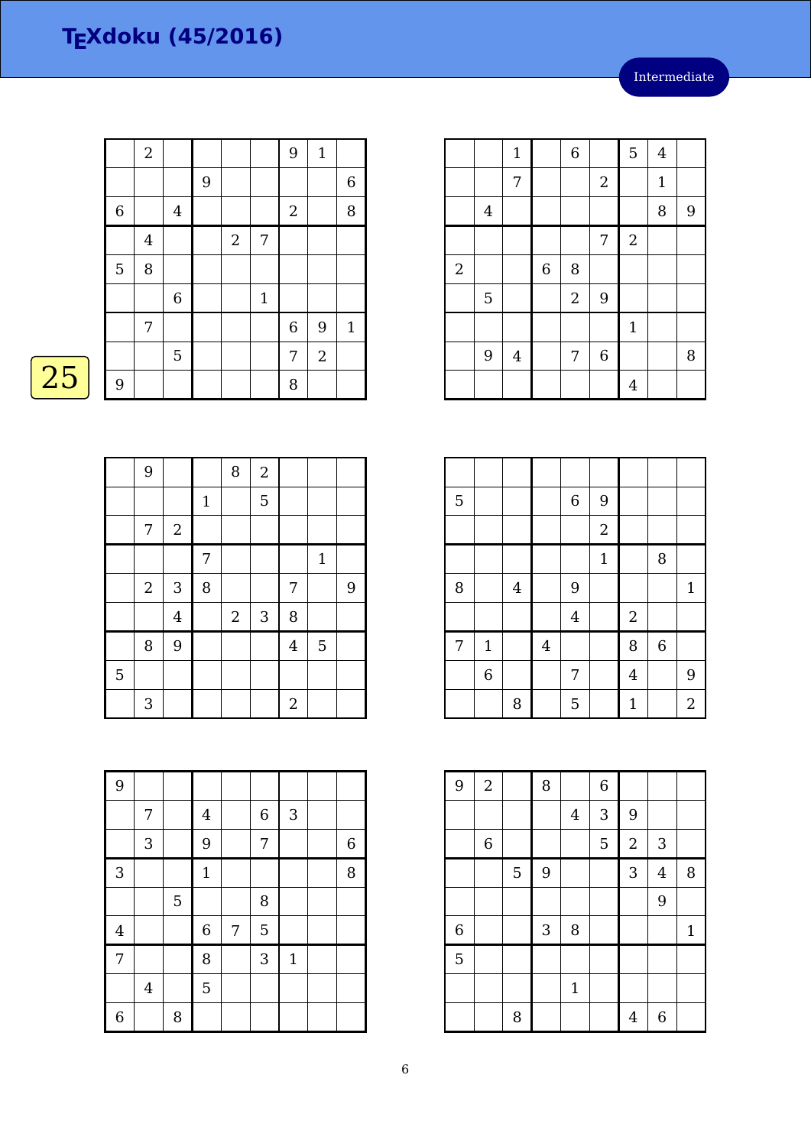|                | $\boldsymbol{2}$ |                  |   |            |                | 9                | $\mathbf 1$ |             |
|----------------|------------------|------------------|---|------------|----------------|------------------|-------------|-------------|
|                |                  |                  | 9 |            |                |                  |             | $\,$ 6 $\,$ |
| $\overline{6}$ |                  | $\boldsymbol{4}$ |   |            |                | $\sqrt{2}$       |             | 8           |
|                | $\bf 4$          |                  |   | $\sqrt{2}$ | $\overline{7}$ |                  |             |             |
| 5              | 8                |                  |   |            |                |                  |             |             |
|                |                  | $\overline{6}$   |   |            | $\mathbf{1}$   |                  |             |             |
|                | 7                |                  |   |            |                | $\boldsymbol{6}$ | 9           | $\mathbf 1$ |
|                |                  | 5                |   |            |                | 7                | $\sqrt{2}$  |             |
| 9              |                  |                  |   |            |                | 8                |             |             |

|   | 9                         |            |             | $\, 8$     | $\sqrt{2}$ |                  |                |   |
|---|---------------------------|------------|-------------|------------|------------|------------------|----------------|---|
|   |                           |            | $\mathbf 1$ |            | 5          |                  |                |   |
|   | 7                         | $\sqrt{2}$ |             |            |            |                  |                |   |
|   |                           |            | 7           |            |            |                  | $\mathbf{1}$   |   |
|   | $\sqrt{2}$                | $\sqrt{3}$ | 8           |            |            | 7                |                | 9 |
|   |                           | $\bf 4$    |             | $\sqrt{2}$ | $\sqrt{3}$ | 8                |                |   |
|   | 8                         | 9          |             |            |            | $\overline{4}$   | $\overline{5}$ |   |
| 5 |                           |            |             |            |            |                  |                |   |
|   | $\ensuremath{\mathsf{3}}$ |            |             |            |            | $\boldsymbol{2}$ |                |   |

| 9              |                |   |                |   |                  |              |             |
|----------------|----------------|---|----------------|---|------------------|--------------|-------------|
|                | 7              |   | $\overline{4}$ |   | $\boldsymbol{6}$ | 3            |             |
|                | 3              |   | 9              |   | 7                |              | $\,$ 6 $\,$ |
| 3              |                |   | $\mathbf{1}$   |   |                  |              | 8           |
|                |                | 5 |                |   | 8                |              |             |
| $\overline{4}$ |                |   | $\,$ 6 $\,$    | 7 | 5                |              |             |
| 7              |                |   | 8              |   | 3                | $\mathbf{1}$ |             |
|                | $\overline{4}$ |   | 5              |   |                  |              |             |
| 6              |                | 8 |                |   |                  |              |             |

|            |                | $\mathbf{1}$   |                | $\overline{6}$ |                | 5              | $\overline{4}$ |   |
|------------|----------------|----------------|----------------|----------------|----------------|----------------|----------------|---|
|            |                | 7              |                |                | $\sqrt{2}$     |                | $\mathbf{1}$   |   |
|            | $\bf 4$        |                |                |                |                |                | 8              | 9 |
|            |                |                |                |                | 7              | $\overline{2}$ |                |   |
| $\sqrt{2}$ |                |                | $\overline{6}$ | 8              |                |                |                |   |
|            | $\overline{5}$ |                |                | $\sqrt{2}$     | $\overline{9}$ |                |                |   |
|            |                |                |                |                |                | $\mathbf 1$    |                |   |
|            | 9              | $\overline{4}$ |                | 7              | $\,$ 6 $\,$    |                |                | 8 |
|            |                |                |                |                |                | $\overline{4}$ |                |   |

| $\overline{5}$ |                |                |                | $\,$ 6 $\,$    | 9              |                |             |                |
|----------------|----------------|----------------|----------------|----------------|----------------|----------------|-------------|----------------|
|                |                |                |                |                | $\overline{a}$ |                |             |                |
|                |                |                |                |                | $\mathbf{1}$   |                | 8           |                |
| 8              |                | $\overline{4}$ |                | 9              |                |                |             | $\mathbf{1}$   |
|                |                |                |                | $\overline{4}$ |                | $\sqrt{2}$     |             |                |
| $\overline{7}$ | $\mathbf{1}$   |                | $\overline{4}$ |                |                | 8              | $\,$ 6 $\,$ |                |
|                | $\overline{6}$ |                |                | 7              |                | $\overline{4}$ |             | 9              |
|                |                | 8              |                | 5              |                | $\mathbf{1}$   |             | $\overline{2}$ |

| 9              | $\overline{2}$ |   | 8          |                | $\overline{6}$ |            |                |              |
|----------------|----------------|---|------------|----------------|----------------|------------|----------------|--------------|
|                |                |   |            | $\overline{4}$ | 3              | 9          |                |              |
|                | $\,6\,$        |   |            |                | 5              | $\sqrt{2}$ | 3              |              |
|                |                | 5 | 9          |                |                | 3          | $\overline{4}$ | 8            |
|                |                |   |            |                |                |            | 9              |              |
| $\overline{6}$ |                |   | $\sqrt{3}$ | 8              |                |            |                | $\mathbf{1}$ |
| $\overline{5}$ |                |   |            |                |                |            |                |              |
|                |                |   |            | $\mathbf{1}$   |                |            |                |              |
|                |                | 8 |            |                |                | 4          | 6              |              |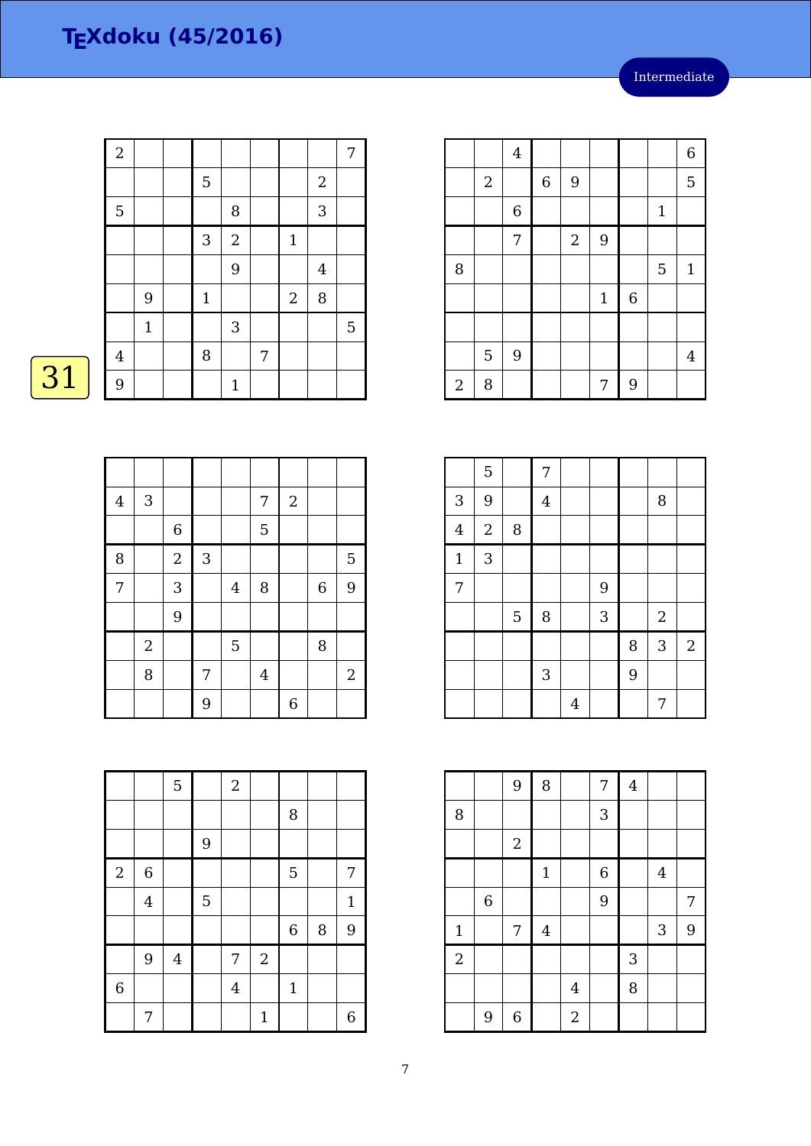| $\overline{2}$ |       |              |              |   |              |                  | 7 |
|----------------|-------|--------------|--------------|---|--------------|------------------|---|
|                |       | 5            |              |   |              | $\boldsymbol{2}$ |   |
| 5              |       |              | 8            |   |              | 3                |   |
|                |       | $\mathbf{3}$ | $\sqrt{2}$   |   | $\mathbf{1}$ |                  |   |
|                |       |              | 9            |   |              | $\overline{4}$   |   |
|                | 9     | $\mathbf 1$  |              |   | $\sqrt{2}$   | 8                |   |
|                | $1\,$ |              | $\mathbf{3}$ |   |              |                  | 5 |
| $\overline{4}$ |       | 8            |              | 7 |              |                  |   |
| 9              |       |              | $\mathbf{1}$ |   |              |                  |   |

# $\overline{31}$

| $\bf 4$        | $\ensuremath{\mathsf{3}}$ |                |              |         | 7              | $\sqrt{2}$  |             |                |
|----------------|---------------------------|----------------|--------------|---------|----------------|-------------|-------------|----------------|
|                |                           | $\,6\,$        |              |         | 5              |             |             |                |
| 8              |                           | $\overline{2}$ | $\mathbf{3}$ |         |                |             |             | $\overline{5}$ |
| $\overline{7}$ |                           | 3              |              | $\bf 4$ | 8              |             | $\,$ 6 $\,$ | 9              |
|                |                           | 9              |              |         |                |             |             |                |
|                | $\overline{2}$            |                |              | 5       |                |             | 8           |                |
|                | 8                         |                | 7            |         | $\overline{4}$ |             |             | $\mathbf{2}$   |
|                |                           |                | 9            |         |                | $\,$ 6 $\,$ |             |                |

|                |                | 5                       |                  | $\sqrt{2}$ |              |                |   |              |
|----------------|----------------|-------------------------|------------------|------------|--------------|----------------|---|--------------|
|                |                |                         |                  |            |              | 8              |   |              |
|                |                |                         | $\boldsymbol{9}$ |            |              |                |   |              |
| $\sqrt{2}$     | $\,$ 6 $\,$    |                         |                  |            |              | 5              |   | 7            |
|                | $\overline{4}$ |                         | $\overline{5}$   |            |              |                |   | $\mathbf{1}$ |
|                |                |                         |                  |            |              | $\overline{6}$ | 8 | 9            |
|                | 9              | $\overline{\mathbf{4}}$ |                  | 7          | $\sqrt{2}$   |                |   |              |
| $\overline{6}$ |                |                         |                  | $\bf 4$    |              | $\mathbf{1}$   |   |              |
|                | 7              |                         |                  |            | $\mathbf{1}$ |                |   | 6            |

|                |                  | $\overline{4}$ |                  |                  |             |             |              | $\boldsymbol{6}$ |
|----------------|------------------|----------------|------------------|------------------|-------------|-------------|--------------|------------------|
|                | $\boldsymbol{2}$ |                | $\boldsymbol{6}$ | 9                |             |             |              | 5                |
|                |                  | $\,$ 6 $\,$    |                  |                  |             |             | $\mathbf{1}$ |                  |
|                |                  | 7              |                  | $\boldsymbol{2}$ | 9           |             |              |                  |
| 8              |                  |                |                  |                  |             |             | 5            | $\mathbf{1}$     |
|                |                  |                |                  |                  | $\mathbf 1$ | $\,$ 6 $\,$ |              |                  |
|                |                  |                |                  |                  |             |             |              |                  |
|                | $\overline{5}$   | 9              |                  |                  |             |             |              | $\overline{4}$   |
| $\overline{a}$ | 8                |                |                  |                  | 7           | 9           |              |                  |

|                | 5              |                | 7              |                |   |   |                |                |
|----------------|----------------|----------------|----------------|----------------|---|---|----------------|----------------|
| 3              | $\overline{9}$ |                | $\overline{4}$ |                |   |   | 8              |                |
| $\overline{4}$ | $\sqrt{2}$     | 8              |                |                |   |   |                |                |
| $\mathbf{1}$   | $\sqrt{3}$     |                |                |                |   |   |                |                |
| 7              |                |                |                |                | 9 |   |                |                |
|                |                | $\overline{5}$ | 8              |                | 3 |   | $\overline{2}$ |                |
|                |                |                |                |                |   | 8 | 3              | $\overline{2}$ |
|                |                |                | $\mathbf{3}$   |                |   | 9 |                |                |
|                |                |                |                | $\overline{4}$ |   |   | 7              |                |

|                |             | 9                | $\, 8$           |                | 7 | $\overline{4}$ |         |   |
|----------------|-------------|------------------|------------------|----------------|---|----------------|---------|---|
| 8              |             |                  |                  |                | 3 |                |         |   |
|                |             | $\boldsymbol{2}$ |                  |                |   |                |         |   |
|                |             |                  | $\mathbf 1$      |                | 6 |                | $\bf 4$ |   |
|                | $\,$ 6 $\,$ |                  |                  |                | 9 |                |         | 7 |
| $\mathbf{1}$   |             | 7                | $\boldsymbol{4}$ |                |   |                | 3       | 9 |
| $\overline{2}$ |             |                  |                  |                |   | 3              |         |   |
|                |             |                  |                  | $\overline{4}$ |   | 8              |         |   |
|                | 9           | $\,$ 6 $\,$      |                  | $\sqrt{2}$     |   |                |         |   |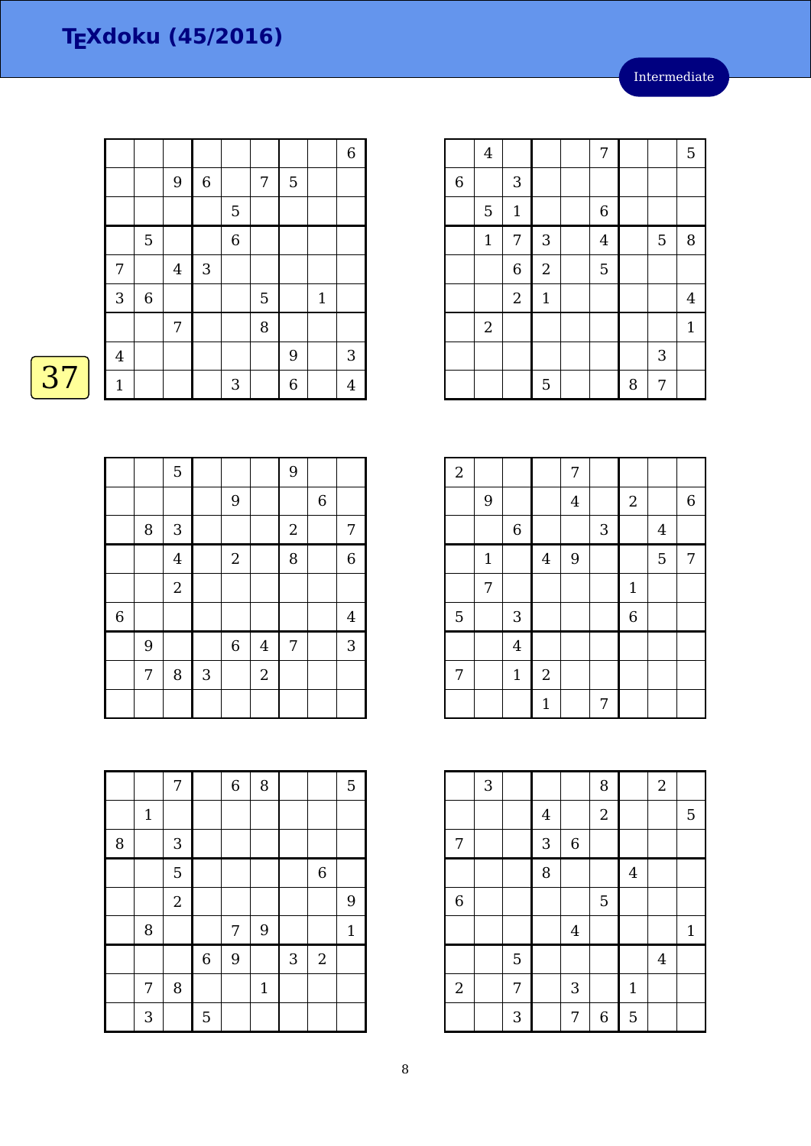|                         |             |         |             |                |   |   |              | $\,$ 6 $\,$             |
|-------------------------|-------------|---------|-------------|----------------|---|---|--------------|-------------------------|
|                         |             | 9       | $\,$ 6 $\,$ |                | 7 | 5 |              |                         |
|                         |             |         |             | 5              |   |   |              |                         |
|                         | $\mathbf 5$ |         |             | $\overline{6}$ |   |   |              |                         |
| 7                       |             | $\bf 4$ | $\sqrt{3}$  |                |   |   |              |                         |
| $\sqrt{3}$              | $\,6\,$     |         |             |                | 5 |   | $\mathbf{1}$ |                         |
|                         |             | 7       |             |                | 8 |   |              |                         |
| $\overline{\mathbf{4}}$ |             |         |             |                |   | 9 |              | 3                       |
| $1\,$                   |             |         |             | 3              |   | 6 |              | $\overline{\mathbf{4}}$ |

4 | | | | | 7 | | | | 5 6 3  $5 \mid 1 \mid \cdot \cdot \cdot \mid 6$  $1 | 7 | 3 | 4 | 5 | 8$  $6 \mid 2 \mid$  5 2 | 1 | | | | | | 4 2 | | | | | | | 1  $\begin{array}{|c|c|c|c|c|} \hline 5 & 8 & 7 \ \hline \end{array}$ 

| $\overline{2}$ |              |                |                  | 7              |              |                |         |             |
|----------------|--------------|----------------|------------------|----------------|--------------|----------------|---------|-------------|
|                | 9            |                |                  | $\overline{4}$ |              | $\sqrt{2}$     |         | $\,$ 6 $\,$ |
|                |              | $\,$ 6 $\,$    |                  |                | $\mathbf{3}$ |                | $\bf 4$ |             |
|                | $\mathbf{1}$ |                | $\overline{4}$   | 9              |              |                | 5       | 7           |
|                | 7            |                |                  |                |              | $\mathbf{1}$   |         |             |
| $\mathbf 5$    |              | 3              |                  |                |              | $\overline{6}$ |         |             |
|                |              | $\overline{4}$ |                  |                |              |                |         |             |
| 7              |              | $\mathbf 1$    | $\boldsymbol{2}$ |                |              |                |         |             |
|                |              |                | $\mathbf{1}$     |                | 7            |                |         |             |

|                | 3 |   |                         |                | 8              |              | $\overline{a}$ |              |
|----------------|---|---|-------------------------|----------------|----------------|--------------|----------------|--------------|
|                |   |   | $\overline{\mathbf{4}}$ |                | $\overline{a}$ |              |                | 5            |
| 7              |   |   | 3                       | $\,$ 6 $\,$    |                |              |                |              |
|                |   |   | 8                       |                |                | $\bf 4$      |                |              |
| $\overline{6}$ |   |   |                         |                | 5              |              |                |              |
|                |   |   |                         | $\overline{4}$ |                |              |                | $\mathbf{1}$ |
|                |   | 5 |                         |                |                |              | $\overline{4}$ |              |
| $\sqrt{2}$     |   | 7 |                         | 3              |                | $\mathbf{1}$ |                |              |
|                |   | 3 |                         | 7              | 6              | 5            |                |              |

|                |   | 5              |            |                  |                | 9          |                  |                |
|----------------|---|----------------|------------|------------------|----------------|------------|------------------|----------------|
|                |   |                |            | 9                |                |            | $\boldsymbol{6}$ |                |
|                | 8 | $\sqrt{3}$     |            |                  |                | $\sqrt{2}$ |                  | 7              |
|                |   | $\overline{4}$ |            | $\boldsymbol{2}$ |                | 8          |                  | $\overline{6}$ |
|                |   | $\sqrt{2}$     |            |                  |                |            |                  |                |
| $\overline{6}$ |   |                |            |                  |                |            |                  | $\overline{4}$ |
|                | 9 |                |            | $\,$ 6 $\,$      | $\overline{4}$ | 7          |                  | 3              |
|                | 7 | 8              | $\sqrt{3}$ |                  | $\overline{2}$ |            |                  |                |
|                |   |                |            |                  |                |            |                  |                |

|   |             | 7                         |             | $\overline{6}$ | 8            |   |                  | 5            |
|---|-------------|---------------------------|-------------|----------------|--------------|---|------------------|--------------|
|   | $\mathbf 1$ |                           |             |                |              |   |                  |              |
| 8 |             | $\ensuremath{\mathsf{3}}$ |             |                |              |   |                  |              |
|   |             | 5                         |             |                |              |   | $\,$ 6 $\,$      |              |
|   |             | $\boldsymbol{2}$          |             |                |              |   |                  | 9            |
|   | 8           |                           |             | 7              | 9            |   |                  | $\mathbf{1}$ |
|   |             |                           | $\,$ 6 $\,$ | 9              |              | 3 | $\boldsymbol{2}$ |              |
|   | 7           | 8                         |             |                | $\mathbf{1}$ |   |                  |              |
|   | 3           |                           | 5           |                |              |   |                  |              |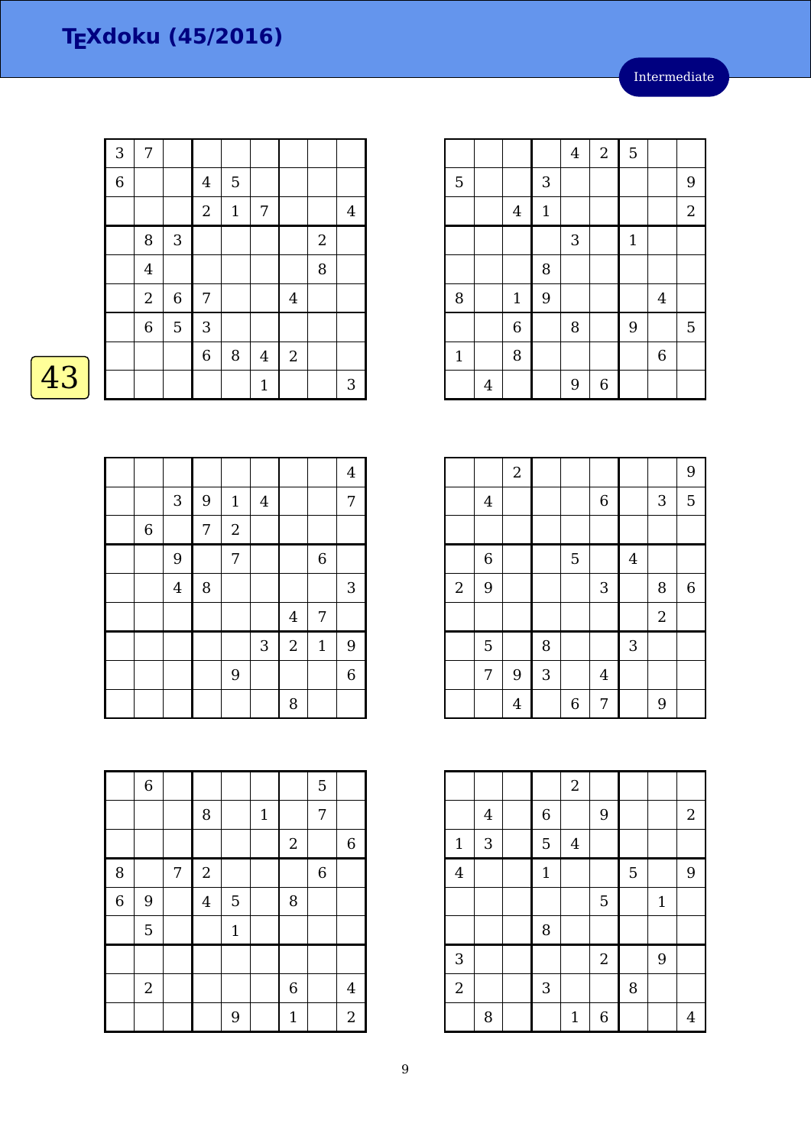|    | 3              | 7              |             |                |             |              |                |                  |                |
|----|----------------|----------------|-------------|----------------|-------------|--------------|----------------|------------------|----------------|
|    | $\overline{6}$ |                |             | $\overline{4}$ | 5           |              |                |                  |                |
|    |                |                |             | $\overline{2}$ | $\mathbf 1$ | 7            |                |                  | $\overline{4}$ |
|    |                | 8              | $\sqrt{3}$  |                |             |              |                | $\boldsymbol{2}$ |                |
|    |                | $\overline{4}$ |             |                |             |              |                | 8                |                |
|    |                | $\mathbf{2}$   | $\,$ 6 $\,$ | 7              |             |              | $\overline{4}$ |                  |                |
|    |                | $\,$ 6 $\,$    | 5           | 3              |             |              |                |                  |                |
|    |                |                |             | 6              | $\, 8$      | $\bf 4$      | $\sqrt{2}$     |                  |                |
| 43 |                |                |             |                |             | $\mathbf{1}$ |                |                  | 3              |

| r<br>И |  |
|--------|--|
|        |  |

|       |                         |   |                |              |                |             | $\overline{4}$ |
|-------|-------------------------|---|----------------|--------------|----------------|-------------|----------------|
|       | $\sqrt{3}$              | 9 | $\mathbf{1}$   | $\bf 4$      |                |             | 7              |
| $\,6$ |                         | 7 | $\sqrt{2}$     |              |                |             |                |
|       | 9                       |   | $\overline{7}$ |              |                | $\,$ 6 $\,$ |                |
|       | $\overline{\mathbf{4}}$ | 8 |                |              |                |             | $\sqrt{3}$     |
|       |                         |   |                |              | $\overline{4}$ | 7           |                |
|       |                         |   |                | $\mathbf{3}$ | $\overline{2}$ | $\mathbf 1$ | 9              |
|       |                         |   | 9              |              |                |             | $\overline{6}$ |
|       |                         |   |                |              | 8              |             |                |

|                | $\,6\,$      |   |                |              |              |                  | 5              |                |
|----------------|--------------|---|----------------|--------------|--------------|------------------|----------------|----------------|
|                |              |   | $\, 8$         |              | $\mathbf{1}$ |                  | 7              |                |
|                |              |   |                |              |              | $\sqrt{2}$       |                | $\overline{6}$ |
| 8              |              | 7 | $\sqrt{2}$     |              |              |                  | $\overline{6}$ |                |
| $\overline{6}$ | 9            |   | $\overline{4}$ | 5            |              | 8                |                |                |
|                | 5            |   |                | $\mathbf{1}$ |              |                  |                |                |
|                |              |   |                |              |              |                  |                |                |
|                | $\mathbf{2}$ |   |                |              |              | $\boldsymbol{6}$ |                | $\overline{4}$ |
|                |              |   |                | 9            |              | $\mathbf{1}$     |                | $\overline{2}$ |

|              |                |                |             | $\bf 4$ | $\sqrt{2}$       | 5           |                |                |
|--------------|----------------|----------------|-------------|---------|------------------|-------------|----------------|----------------|
| 5            |                |                | 3           |         |                  |             |                | 9              |
|              |                | $\overline{4}$ | $\mathbf 1$ |         |                  |             |                | $\overline{2}$ |
|              |                |                |             | 3       |                  | $\mathbf 1$ |                |                |
|              |                |                | 8           |         |                  |             |                |                |
| 8            |                | $1\,$          | 9           |         |                  |             | $\overline{4}$ |                |
|              |                | 6              |             | 8       |                  | 9           |                | $\mathbf 5$    |
| $\mathbf{1}$ |                | 8              |             |         |                  |             | $\overline{6}$ |                |
|              | $\overline{4}$ |                |             | 9       | $\boldsymbol{6}$ |             |                |                |

|            |                  | $\sqrt{2}$     |   |                  |                |         |                | 9                |
|------------|------------------|----------------|---|------------------|----------------|---------|----------------|------------------|
|            | $\boldsymbol{4}$ |                |   |                  | $\overline{6}$ |         | $\sqrt{3}$     | 5                |
|            |                  |                |   |                  |                |         |                |                  |
|            | $\,$ 6 $\,$      |                |   | 5                |                | $\bf 4$ |                |                  |
| $\sqrt{2}$ | 9                |                |   |                  | 3              |         | 8              | $\boldsymbol{6}$ |
|            |                  |                |   |                  |                |         | $\overline{2}$ |                  |
|            | $\overline{5}$   |                | 8 |                  |                | 3       |                |                  |
|            | 7                | 9              | 3 |                  | $\overline{4}$ |         |                |                  |
|            |                  | $\overline{4}$ |   | $\boldsymbol{6}$ | 7              |         | 9              |                  |

|                         |         |              | $\sqrt{2}$   |                |   |              |       |
|-------------------------|---------|--------------|--------------|----------------|---|--------------|-------|
|                         | $\bf 4$ | $\,$ 6 $\,$  |              | 9              |   |              | $2\,$ |
| $\mathbf 1$             | 3       | 5            | $\bf 4$      |                |   |              |       |
| $\overline{\mathbf{4}}$ |         | $\mathbf{1}$ |              |                | 5 |              | 9     |
|                         |         |              |              | 5              |   | $\mathbf{1}$ |       |
|                         |         | 8            |              |                |   |              |       |
| $\sqrt{3}$              |         |              |              | $\overline{2}$ |   | 9            |       |
| $\sqrt{2}$              |         | 3            |              |                | 8 |              |       |
|                         | 8       |              | $\mathbf{1}$ | $\overline{6}$ |   |              | 4     |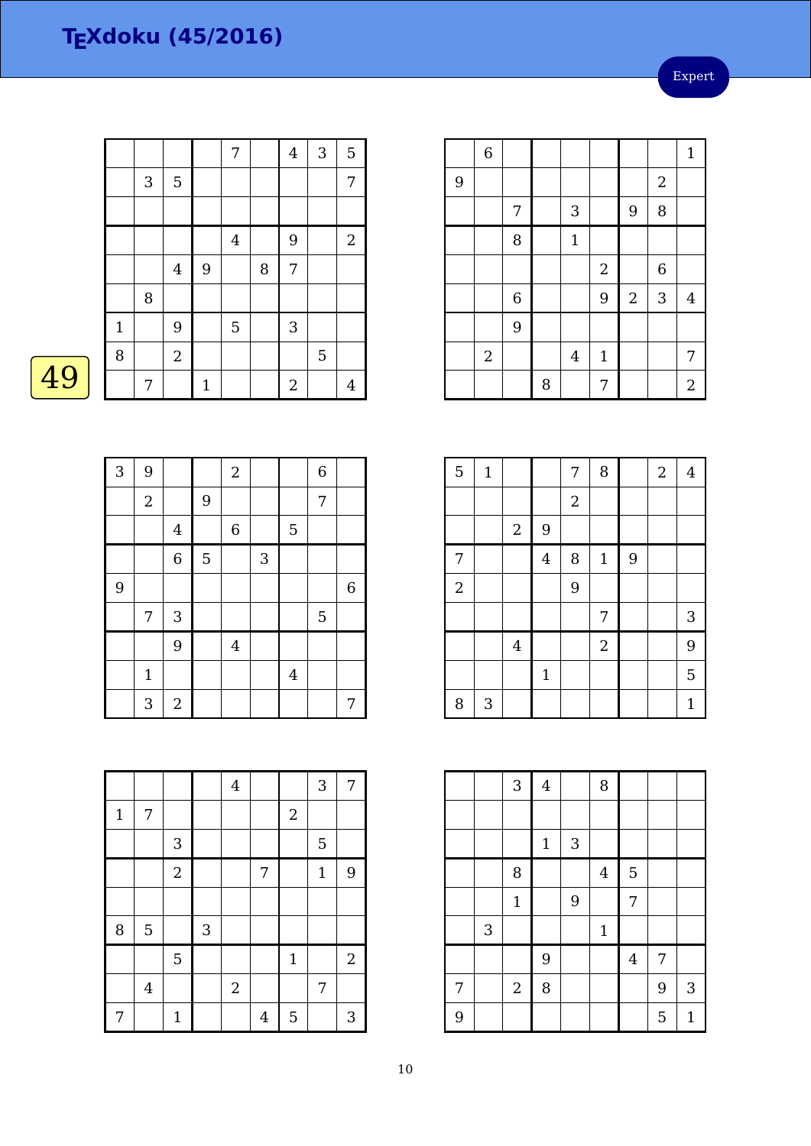Expert

|    |              |   |                |             | 7                |   | 4              | 3              | 5              |
|----|--------------|---|----------------|-------------|------------------|---|----------------|----------------|----------------|
|    |              | 3 | $\mathbf 5$    |             |                  |   |                |                | 7              |
|    |              |   |                |             |                  |   |                |                |                |
|    |              |   |                |             | $\boldsymbol{4}$ |   | 9              |                | $\overline{2}$ |
|    |              |   | $\bf 4$        | 9           |                  | 8 | 7              |                |                |
|    |              | 8 |                |             |                  |   |                |                |                |
|    | $\mathbf{1}$ |   | 9              |             | 5                |   | 3              |                |                |
|    | 8            |   | $\overline{2}$ |             |                  |   |                | $\overline{5}$ |                |
| 49 |              | 7 |                | $\mathbf 1$ |                  |   | $\overline{2}$ |                | $\overline{4}$ |

| 4 |
|---|
|---|

| 3 | 9           |                |   | $\boldsymbol{2}$ |   |                | $\,$ 6 $\,$ |             |
|---|-------------|----------------|---|------------------|---|----------------|-------------|-------------|
|   | $\sqrt{2}$  |                | 9 |                  |   |                | $\sqrt{ }$  |             |
|   |             | $\bf 4$        |   | $\boldsymbol{6}$ |   | 5              |             |             |
|   |             | $\overline{6}$ | 5 |                  | 3 |                |             |             |
| 9 |             |                |   |                  |   |                |             | $\,$ 6 $\,$ |
|   | 7           | 3              |   |                  |   |                | 5           |             |
|   |             | 9              |   | $\overline{4}$   |   |                |             |             |
|   | $\mathbf 1$ |                |   |                  |   | $\overline{4}$ |             |             |
|   | 3           | $\sqrt{2}$     |   |                  |   |                |             | 7           |

|             |         |                |                           | $\overline{4}$ |                |              | 3            | 7              |
|-------------|---------|----------------|---------------------------|----------------|----------------|--------------|--------------|----------------|
| $\mathbf 1$ | 7       |                |                           |                |                | $\sqrt{2}$   |              |                |
|             |         | 3              |                           |                |                |              | 5            |                |
|             |         | $\overline{2}$ |                           |                | 7              |              | $\mathbf{1}$ | 9              |
|             |         |                |                           |                |                |              |              |                |
| 8           | 5       |                | $\ensuremath{\mathsf{3}}$ |                |                |              |              |                |
|             |         | 5              |                           |                |                | $\mathbf{1}$ |              | $\overline{2}$ |
|             | $\bf 4$ |                |                           | $\sqrt{2}$     |                |              | 7            |                |
| 7           |         | $\mathbf{1}$   |                           |                | $\overline{4}$ | 5            |              | 3              |

|   | $\overline{6}$   |             |   |                |                  |            |                  | $\mathbf{1}$     |
|---|------------------|-------------|---|----------------|------------------|------------|------------------|------------------|
| 9 |                  |             |   |                |                  |            | $\sqrt{2}$       |                  |
|   |                  | 7           |   | $\sqrt{3}$     |                  | 9          | 8                |                  |
|   |                  | 8           |   | $\mathbf{1}$   |                  |            |                  |                  |
|   |                  |             |   |                | $\boldsymbol{2}$ |            | $\boldsymbol{6}$ |                  |
|   |                  | $\,$ 6 $\,$ |   |                | 9                | $\sqrt{2}$ | 3                | $\overline{4}$   |
|   |                  | 9           |   |                |                  |            |                  |                  |
|   | $\boldsymbol{2}$ |             |   | $\overline{4}$ | $\mathbf{1}$     |            |                  | 7                |
|   |                  |             | 8 |                | 7                |            |                  | $\boldsymbol{2}$ |

| 5                | $\mathbf{1}$              |                |                | 7          | 8              |                | $\overline{2}$ | $\bf 4$      |
|------------------|---------------------------|----------------|----------------|------------|----------------|----------------|----------------|--------------|
|                  |                           |                |                | $\sqrt{2}$ |                |                |                |              |
|                  |                           | $\sqrt{2}$     | 9              |            |                |                |                |              |
| 7                |                           |                | $\overline{4}$ | 8          | $\mathbf 1$    | $\overline{9}$ |                |              |
| $\boldsymbol{2}$ |                           |                |                | 9          |                |                |                |              |
|                  |                           |                |                |            | 7              |                |                | $\sqrt{3}$   |
|                  |                           | $\overline{4}$ |                |            | $\overline{a}$ |                |                | 9            |
|                  |                           |                | $\mathbf{1}$   |            |                |                |                | 5            |
| 8                | $\ensuremath{\mathsf{3}}$ |                |                |            |                |                |                | $\mathbf{1}$ |

|   |            | $\overline{3}$   | $\overline{4}$ |   | 8              |         |   |             |
|---|------------|------------------|----------------|---|----------------|---------|---|-------------|
|   |            |                  |                |   |                |         |   |             |
|   |            |                  | $\mathbf{1}$   | 3 |                |         |   |             |
|   |            | 8                |                |   | $\overline{4}$ | 5       |   |             |
|   |            | $\mathbf{1}$     |                | 9 |                | 7       |   |             |
|   | $\sqrt{3}$ |                  |                |   | $\mathbf{1}$   |         |   |             |
|   |            |                  | 9              |   |                | $\bf 4$ | 7 |             |
| 7 |            | $\boldsymbol{2}$ | 8              |   |                |         | 9 | 3           |
| 9 |            |                  |                |   |                |         | 5 | $\mathbf 1$ |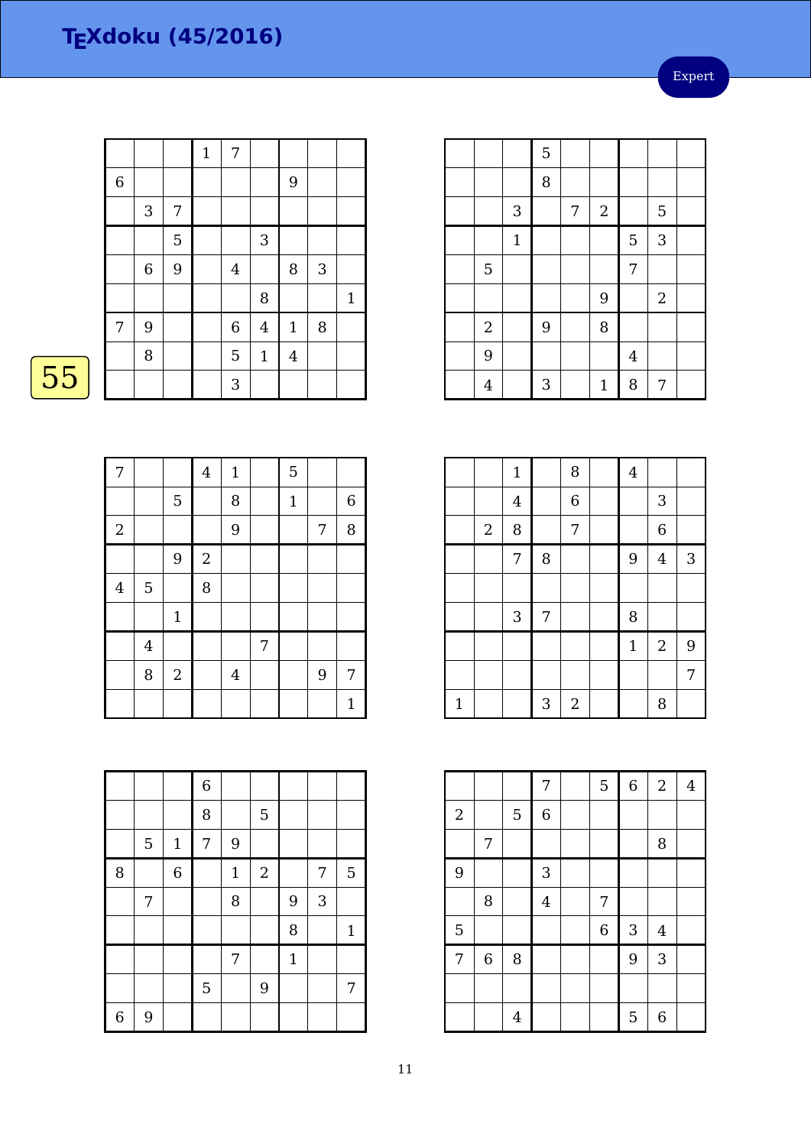Expert

|    |   |            |   | $\mathbf{1}$ | 7                |              |             |            |              |
|----|---|------------|---|--------------|------------------|--------------|-------------|------------|--------------|
|    | 6 |            |   |              |                  |              | 9           |            |              |
|    |   | $\sqrt{3}$ | 7 |              |                  |              |             |            |              |
|    |   |            | 5 |              |                  | $\sqrt{3}$   |             |            |              |
|    |   | $\,6\,$    | 9 |              | $\overline{4}$   |              | 8           | $\sqrt{3}$ |              |
|    |   |            |   |              |                  | 8            |             |            | $\mathbf{1}$ |
|    | 7 | $9\,$      |   |              | $\boldsymbol{6}$ | $\bf 4$      | $\mathbf 1$ | 8          |              |
|    |   | $\, 8$     |   |              | 5                | $\mathbf{1}$ | $\bf 4$     |            |              |
| 55 |   |            |   |              | $\sqrt{3}$       |              |             |            |              |
|    |   |            |   |              |                  |              |             |            |              |

| 7              |                |                | $\bf 4$        | $1\,$          |   | 5           |   |                  |
|----------------|----------------|----------------|----------------|----------------|---|-------------|---|------------------|
|                |                | $\mathbf 5$    |                | 8              |   | $\mathbf 1$ |   | $\boldsymbol{6}$ |
| $\sqrt{2}$     |                |                |                | $\overline{9}$ |   |             | 7 | 8                |
|                |                | 9              | $\overline{2}$ |                |   |             |   |                  |
| $\overline{4}$ | 5              |                | 8              |                |   |             |   |                  |
|                |                | $\mathbf{1}$   |                |                |   |             |   |                  |
|                | $\overline{4}$ |                |                |                | 7 |             |   |                  |
|                | 8              | $\overline{2}$ |                | $\overline{4}$ |   |             | 9 | 7                |
|                |                |                |                |                |   |             |   | $\mathbf{1}$     |

|                |   |                | $\,$ 6 $\,$ |              |            |              |   |                |
|----------------|---|----------------|-------------|--------------|------------|--------------|---|----------------|
|                |   |                | 8           |              | 5          |              |   |                |
|                | 5 | $\mathbf{1}$   | 7           | 9            |            |              |   |                |
| 8              |   | $\overline{6}$ |             | $\mathbf{1}$ | $\sqrt{2}$ |              | 7 | $\overline{5}$ |
|                | 7 |                |             | 8            |            | 9            | 3 |                |
|                |   |                |             |              |            | 8            |   | $\mathbf 1$    |
|                |   |                |             | 7            |            | $\mathbf{1}$ |   |                |
|                |   |                | 5           |              | 9          |              |   | 7              |
| $\overline{6}$ | 9 |                |             |              |            |              |   |                |

|                |              | $\overline{5}$ |   |              |                |                |  |
|----------------|--------------|----------------|---|--------------|----------------|----------------|--|
|                |              | 8              |   |              |                |                |  |
|                | 3            |                | 7 | $\sqrt{2}$   |                | $\overline{5}$ |  |
|                | $\mathbf{1}$ |                |   |              | 5              | 3              |  |
| 5              |              |                |   |              | $\overline{7}$ |                |  |
|                |              |                |   | 9            |                | $\sqrt{2}$     |  |
| $\overline{c}$ |              | 9              |   | 8            |                |                |  |
| 9              |              |                |   |              | $\bf 4$        |                |  |
| $\overline{4}$ |              | 3              |   | $\mathbf{1}$ | 8              | 7              |  |
|                |              |                |   |              |                |                |  |

|              |            | $\mathbf{1}$   |   | 8              | $\overline{4}$ |                |   |
|--------------|------------|----------------|---|----------------|----------------|----------------|---|
|              |            | $\overline{4}$ |   | $\overline{6}$ |                | 3              |   |
|              | $\sqrt{2}$ | 8              |   | 7              |                | $\overline{6}$ |   |
|              |            | 7              | 8 |                | 9              | $\overline{4}$ | 3 |
|              |            |                |   |                |                |                |   |
|              |            | $\mathbf{3}$   | 7 |                | 8              |                |   |
|              |            |                |   |                | $\mathbf 1$    | $\sqrt{2}$     | 9 |
|              |            |                |   |                |                |                | 7 |
| $\mathbf{1}$ |            |                | 3 | $\overline{2}$ |                | 8              |   |

|                |                |             | 7                | 5 | $\overline{6}$ | $\overline{2}$ | $\overline{4}$ |
|----------------|----------------|-------------|------------------|---|----------------|----------------|----------------|
| $\sqrt{2}$     |                | $\mathbf 5$ | $\boldsymbol{6}$ |   |                |                |                |
|                | 7              |             |                  |   |                | 8              |                |
| 9              |                |             | 3                |   |                |                |                |
|                | 8              |             | $\overline{4}$   | 7 |                |                |                |
| 5              |                |             |                  | 6 | 3              | $\overline{4}$ |                |
| $\overline{7}$ | $\overline{6}$ | 8           |                  |   | 9              | 3              |                |
|                |                |             |                  |   |                |                |                |
|                |                | 4           |                  |   | 5              | 6              |                |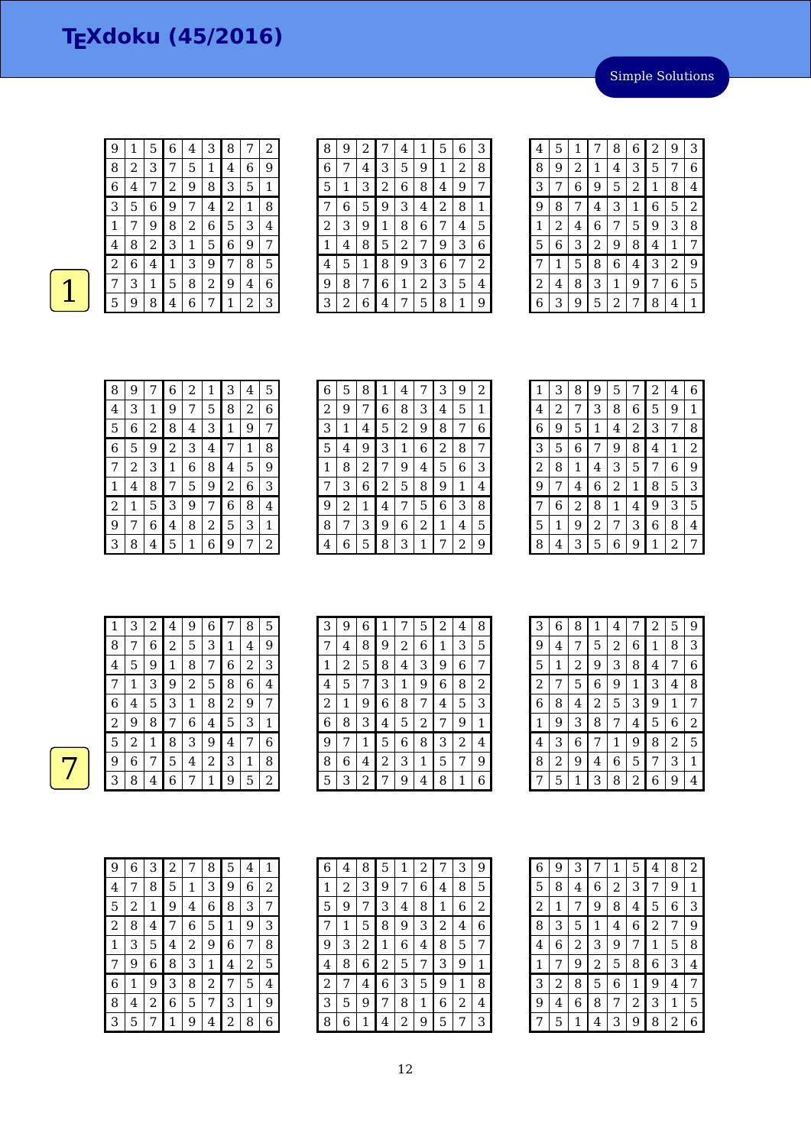Simple Solutions

| 9 | 1                       | 5 | 6              | 4            | 3 | 8 | 7 | 2 |
|---|-------------------------|---|----------------|--------------|---|---|---|---|
| 8 | $\overline{\mathbf{c}}$ | 3 | 7              | 5            | 1 | 4 | 6 | 9 |
| 6 | $\overline{4}$          | 7 | $\overline{c}$ | 9            | 8 | 3 | 5 | 1 |
| 3 | 5                       | 6 | 9              | 7            | 4 | 2 | 1 | 8 |
| 1 | 7                       | 9 | 8              | 2            | 6 | 5 | 3 | 4 |
| 4 | 8                       | 2 | 3              | $\mathbf{1}$ | 5 | 6 | 9 | 7 |
| 2 | 6                       | 4 | 1              | З            | 9 | 7 | 8 | 5 |
| 7 | 3                       | 1 | 5              | 8            | 2 | 9 | 4 | 6 |
| 5 | 9                       | 8 | 4              | 6            | 7 | 1 | 2 | 3 |

| 8 | 9 | 2 |                | 4 | 1 | 5 | 6 | 3 |
|---|---|---|----------------|---|---|---|---|---|
| 6 |   | 4 | 3              | 5 | 9 | 1 | 2 | 8 |
| 5 | 1 | З | $\overline{c}$ | 6 | 8 | 4 | 9 | 7 |
| 7 | 6 | 5 | 9              | 3 | 4 | 2 | 8 | 1 |
| 2 | 3 | 9 | 1              | 8 | 6 | 7 | 4 | 5 |
| 1 | 4 | 8 | 5              | 2 | 7 | 9 | 3 | 6 |
| 4 | 5 | 1 | 8              | 9 | З | 6 | 7 | 2 |
| 9 | 8 | 7 | 6              | 1 | 2 | 3 | 5 | 4 |
| 3 | 2 | 6 | 4              | 7 | 5 | 8 | 1 | 9 |
|   |   |   |                |   |   |   |   |   |

| 4 | 5 | 1 | 7              | 8 | 6 | 2            | 9            | 3              |
|---|---|---|----------------|---|---|--------------|--------------|----------------|
| 8 | 9 | 2 | 1              | 4 | 3 | 5            | 7            | 6              |
| 3 | 7 | 6 | 9              | 5 | 2 | $\mathbf{1}$ | 8            | 4              |
| 9 | 8 | 7 | 4              | 3 | 1 | 6            | 5            | $\overline{2}$ |
| 1 | 2 | 4 | 6              | 7 | 5 | 9            | 3            | 8              |
| 5 | 6 | 3 | $\overline{c}$ | 9 | 8 | 4            | $\mathbf{1}$ | 7              |
| 7 | 1 | 5 | 8              | 6 | 4 | 3            | 2            | 9              |
| 2 | 4 | 8 | 3              | 1 | 9 | 7            | 6            | 5              |
| 6 | З | 9 | 5              | 2 | 7 | 8            | 4            | 1              |

| 8 | 9 | 7 | 6              | 2       | 1 | З | 4 | 5 |
|---|---|---|----------------|---------|---|---|---|---|
| 4 | З | 1 | 9              | 7       | 5 | 8 | 2 | 6 |
| 5 | 6 | 2 | 8              | 4       | 3 | 1 | 9 | 7 |
| 6 | 5 | 9 | $\overline{c}$ | 3       | 4 | 7 | 1 | 8 |
| 7 | 2 | 3 | 1              | $\,6\,$ | 8 | 4 | 5 | 9 |
| 1 | 4 | 8 | 7              | 5       | 9 | 2 | 6 | З |
| 2 | 1 | 5 | 3              | 9       | 7 | 6 | 8 | 4 |
| 9 | 7 | 6 | 4              | 8       | 2 | 5 | 3 | 1 |
| 3 | 8 | 4 | 5              | 1       | 6 | 9 | 7 | 2 |

| 6 | 5 | 8 | 1 | 4              | 7 | 3 | 9 | 2 |
|---|---|---|---|----------------|---|---|---|---|
| 2 | 9 | 7 | 6 | 8              | 3 | 4 | 5 | 1 |
| 3 | 1 | 4 | 5 | $\overline{2}$ | 9 | 8 | 7 | 6 |
| 5 | 4 | 9 | 3 | 1              | 6 | 2 | 8 | 7 |
| 1 | 8 | 2 | 7 | 9              | 4 | 5 | 6 | 3 |
| 7 | 3 | 6 | 2 | 5              | 8 | 9 | 1 | 4 |
| 9 | 2 | 1 | 4 | 7              | 5 | 6 | 3 | 8 |
| 8 | 7 | 3 | 9 | 6              | 2 | 1 | 4 | 5 |
| 4 | 6 | 5 | 8 | 3              | 1 | 7 | 2 | 9 |

| 1 | 3 | 8 | 9 | 5 | 7 | 2 | 4 | 6 |
|---|---|---|---|---|---|---|---|---|
| 4 | 2 | 7 | 3 | 8 | 6 | 5 | 9 | 1 |
| 6 | 9 | 5 | 1 | 4 | 2 | 3 | 7 | 8 |
| 3 | 5 | 6 |   | 9 | 8 | 4 | 1 | 2 |
| 2 | 8 | 1 | 4 | 3 | 5 | 7 | 6 | 9 |
| 9 | 7 | 4 | 6 | 2 | 1 | 8 | 5 | 3 |
| 7 | 6 | 2 | 8 | 1 | 4 | 9 | 3 | 5 |
| 5 | 1 | 9 | 2 | 7 | 3 | 6 | 8 | 4 |
| 8 | 4 | З | 5 | 6 | 9 | 1 | 2 | 7 |

| 1              | 3 | 2 | 4              | 9 | 6 | 7 | 8 | 5 |
|----------------|---|---|----------------|---|---|---|---|---|
| 8              | 7 | 6 | $\overline{a}$ | 5 | 3 | 1 | 4 | 9 |
| $\overline{4}$ | 5 | 9 | $\mathbf{1}$   | 8 | 7 | 6 | 2 | 3 |
| 7              | 1 | 3 | 9              | 2 | 5 | 8 | 6 | 4 |
| 6              | 4 | 5 | 3              | 1 | 8 | 2 | 9 | 7 |
| 2              | 9 | 8 | 7              | 6 | 4 | 5 | 3 | 1 |
| 5              | 2 | 1 | 8              | 3 | 9 | 4 | 7 | 6 |
| 9              | 6 | 7 | 5              | 4 | 2 | 3 | 1 | 8 |
| З              | 8 | 4 | 6              | 7 | 1 | 9 | 5 | 2 |

| 3 | 9 | 6 | $\mathbf{1}$ | 7              | 5 | 2 | 4 | 8 |
|---|---|---|--------------|----------------|---|---|---|---|
| 7 | 4 | 8 | 9            | $\overline{2}$ | 6 | 1 | 3 | 5 |
| 1 | 2 | 5 | 8            | 4              | 3 | 9 | 6 | 7 |
| 4 | 5 | 7 | 3            | 1              | 9 | 6 | 8 | 2 |
| 2 | 1 | 9 | 6            | 8              | 7 | 4 | 5 | 3 |
| 6 | 8 | 3 | 4            | 5              | 2 | 7 | 9 | 1 |
| 9 | 7 | 1 | 5            | 6              | 8 | 3 | 2 | 4 |
| 8 | 6 | 4 | 2            | 3              | 1 | 5 |   | 9 |
| 5 | 3 | 2 | 7            | 9              | 4 | 8 | 1 | 6 |

| 3 | 6 | 8 | 1 | 4 |   | 2 | 5 | 9 |
|---|---|---|---|---|---|---|---|---|
| 9 | 4 |   | 5 | 2 | 6 | 1 | 8 | 3 |
| 5 | 1 | 2 | 9 | 3 | 8 | 4 | 7 | 6 |
| 2 | 7 | 5 | 6 | 9 | 1 | З | 4 | 8 |
| 6 | 8 | 4 | 2 | 5 | 3 | 9 | 1 | 7 |
| 1 | 9 | 3 | 8 | 7 | 4 | 5 | 6 | 2 |
| 4 | З | 6 | 7 | 1 | 9 | 8 | 2 | 5 |
| 8 | 2 | 9 | 4 | 6 | 5 | 7 | 3 | 1 |
| 7 | 5 | 1 | 3 | 8 | 2 | 6 | 9 |   |

| 9 | 6 | З | 2 | 7 | 8 | 5 | 4 | 1 |
|---|---|---|---|---|---|---|---|---|
| 4 |   | 8 | 5 | 1 | 3 | 9 | 6 | 2 |
| 5 | 2 | 1 | 9 | 4 | 6 | 8 | 3 | 7 |
| 2 | 8 | 4 | 7 | 6 | 5 | 1 | 9 | З |
| 1 | З | 5 | 4 | 2 | 9 | 6 | 7 | 8 |
|   | 9 | 6 | 8 | 3 | 1 | 4 | 2 | 5 |
| 6 |   | 9 | 3 | 8 | 2 | 7 | 5 | 4 |
| 8 | 4 | 2 | 6 | 5 | 7 | 3 | 1 | 9 |
| 3 | 5 |   |   | 9 | 4 | 2 | 8 | 6 |

| 6 | 4 | 8 | 5 | 1 | 2 |   | 3 | 9 |
|---|---|---|---|---|---|---|---|---|
| 1 | 2 | 3 | 9 | 7 | 6 | 4 | 8 | 5 |
| 5 | 9 | 7 | З | 4 | 8 | 1 | 6 | 2 |
|   | 1 | 5 | 8 | 9 | 3 | 2 | 4 | 6 |
| 9 | 3 | 2 | 1 | 6 | 4 | 8 | 5 | 7 |
| 4 | 8 | 6 | 2 | 5 | 7 | 3 | 9 | 1 |
| 2 | 7 | 4 | 6 | 3 | 5 | 9 | 1 | 8 |
| З | 5 | 9 | 7 | 8 | 1 | 6 | 2 | 4 |
| 8 | 6 | 1 | 4 | 2 | 9 | 5 |   | 3 |

| 6              | g | 3 | 7              | 1 | 5 | 4              | 8 | $\overline{a}$ |
|----------------|---|---|----------------|---|---|----------------|---|----------------|
| 5              | 8 | 4 | 6              | 2 | 3 | 7              | 9 | 1              |
| $\overline{c}$ | 1 | 7 | 9              | 8 | 4 | 5              | 6 | 3              |
| 8              | З | 5 | 1              | 4 | 6 | $\overline{c}$ | 7 | 9              |
| 4              | 6 | 2 | З              | 9 | 7 | 1              | 5 | 8              |
| 1              | 7 | 9 | $\overline{c}$ | 5 | 8 | 6              | 3 | 4              |
| З              | 2 | 8 | 5              | 6 | 1 | 9              | 4 | 7              |
| 9              | 4 | 6 | 8              | 7 | 2 | З              | 1 | 5              |
| 7              | 5 | 1 | 4              | 3 | 9 | 8              | 2 | 6              |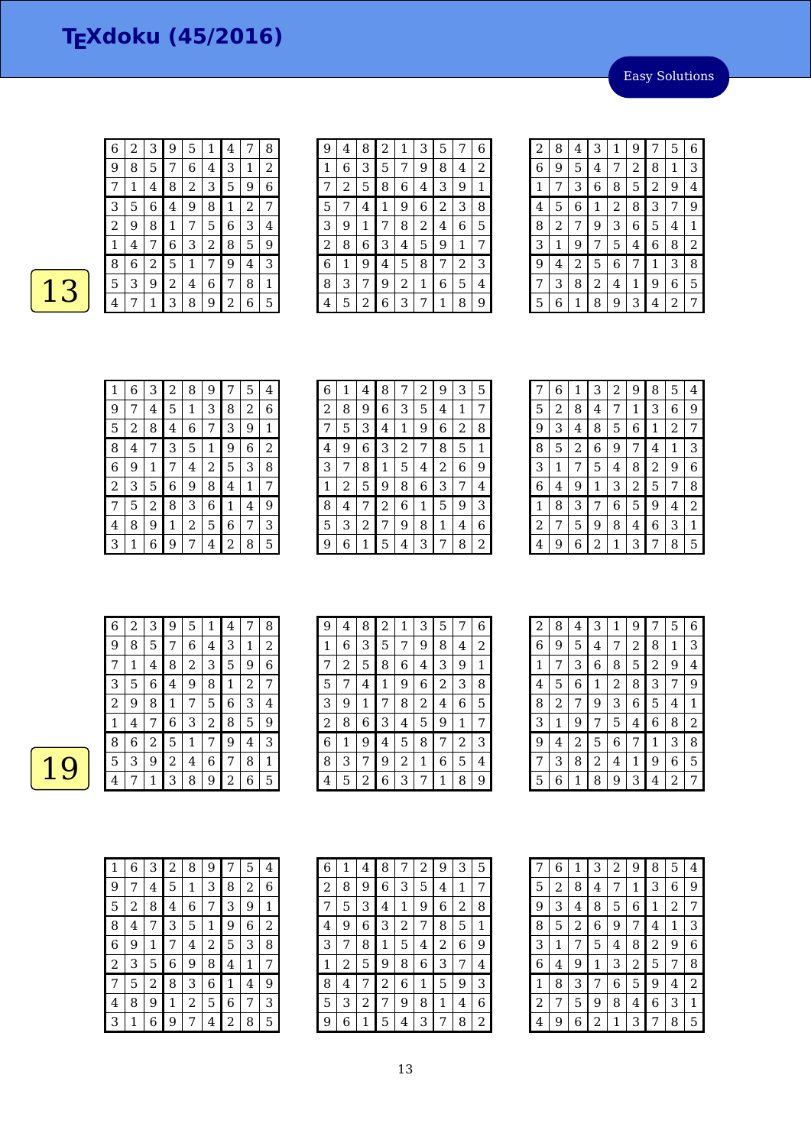Easy Solutions

| 6 | 2 | 3 | 9              | 5              | 1 | 4            | 7 | 8 |
|---|---|---|----------------|----------------|---|--------------|---|---|
| 9 | 8 | 5 | 7              | 6              | 4 | 3            | 1 | 2 |
| 7 | 1 | 4 | 8              | $\overline{c}$ | 3 | 5            | 9 | 6 |
| 3 | 5 | 6 | 4              | 9              | 8 | $\mathbf{1}$ | 2 | 7 |
| 2 | 9 | 8 | 1              | 7              | 5 | 6            | 3 | 4 |
| 1 | 4 | 7 | 6              | 3              | 2 | 8            | 5 | 9 |
| 8 | 6 | 2 | 5              | 1              | 7 | 9            | 4 | 3 |
| 5 | 3 | 9 | $\overline{c}$ | 4              | 6 | 7            | 8 | 1 |
| 4 | 7 | 1 | 3              | 8              | 9 | 2            | 6 | 5 |

| 9 | 4 | 8 | 2 | 1 | 3 | 5              |                | 6 |
|---|---|---|---|---|---|----------------|----------------|---|
| 1 | 6 | 3 | 5 | 7 | 9 | 8              | 4              | 2 |
| 7 | 2 | 5 | 8 | 6 | 4 | 3              | 9              | 1 |
| 5 | 7 | 4 | 1 | 9 | 6 | $\overline{c}$ | 3              | 8 |
| 3 | 9 | 1 | 7 | 8 | 2 | 4              | 6              | 5 |
| 2 | 8 | 6 | 3 | 4 | 5 | 9              | 1              | 7 |
| 6 | 1 | 9 | 4 | 5 | 8 | 7              | $\overline{c}$ | З |
| 8 | З | 7 | 9 | 2 | 1 | 6              | 5              | 4 |
| 4 | 5 | 2 | 6 | 3 | 7 | 1              | 8              | 9 |

| $\overline{2}$ | 8 | 4 | 3 | 1              | 9              | 7              | 5            | 6 |
|----------------|---|---|---|----------------|----------------|----------------|--------------|---|
| 6              | 9 | 5 | 4 | 7              | $\overline{c}$ | 8              | $\mathbf{1}$ | 3 |
| 1              | 7 | 3 | 6 | 8              | 5              | $\overline{2}$ | 9            | 4 |
| 4              | 5 | 6 | 1 | $\overline{c}$ | 8              | 3              | 7            | 9 |
| 8              | 2 | 7 | 9 | 3              | 6              | 5              | 4            | 1 |
| 3              | 1 | 9 | 7 | 5              | 4              | 6              | 8            | 2 |
| 9              | 4 | 2 | 5 | 6              | 7              | 1              | 3            | 8 |
| 7              | 3 | 8 | 2 | 4              | 1              | 9              | 6            | 5 |
| 5              | 6 | 1 | 8 | 9              | 3              | 4              | 2            | 7 |

| 1 | 6 | 3 | 2 | 8 | 9 | 7 | 5 | 4 |
|---|---|---|---|---|---|---|---|---|
| 9 |   | 4 | 5 | 1 | 3 | 8 | 2 | 6 |
| 5 | 2 | 8 | 4 | 6 | 7 | 3 | 9 | 1 |
| 8 | 4 | 7 | 3 | 5 | 1 | 9 | 6 | 2 |
| 6 | 9 | 1 | 7 | 4 | 2 | 5 | 3 | 8 |
| 2 | З | 5 | 6 | 9 | 8 | 4 | 1 | 7 |
| 7 | 5 | 2 | 8 | 3 | 6 | 1 | 4 | 9 |
| 4 | 8 | 9 | 1 | 2 | 5 | 6 | 7 | 3 |
| З | 1 | 6 | 9 | 7 | 4 | 2 | 8 | 5 |

| 6 | 1 | 4 | 8 | 7 | $\overline{c}$ | 9 | 3 | 5 |
|---|---|---|---|---|----------------|---|---|---|
| 2 | 8 | 9 | 6 | 3 | 5              | 4 | 1 | 7 |
| 7 | 5 | 3 | 4 | 1 | 9              | 6 | 2 | 8 |
| 4 | 9 | 6 | 3 | 2 | 7              | 8 | 5 | 1 |
| 3 | 7 | 8 | 1 | 5 | 4              | 2 | 6 | 9 |
| 1 | 2 | 5 | 9 | 8 | 6              | 3 | 7 | 4 |
| 8 | 4 | 7 | 2 | 6 | 1              | 5 | 9 | 3 |
| 5 | 3 | 2 | 7 | 9 | 8              | 1 | 4 | 6 |
| 9 | 6 | 1 | 5 | 4 | 3              | 7 | 8 | 2 |

| 7 | 6 | 1 | З | 2 | 9 | 8 | 5 | 4 |
|---|---|---|---|---|---|---|---|---|
| 5 | 2 | 8 | 4 | 7 | 1 | З | 6 | 9 |
| 9 | З | 4 | 8 | 5 | 6 | 1 | 2 | 7 |
| 8 | 5 | 2 | 6 | 9 | 7 | 4 | 1 | 3 |
| 3 | 1 | 7 | 5 | 4 | 8 | 2 | 9 | 6 |
| 6 | 4 | 9 | 1 | З | 2 | 5 | 7 | 8 |
| 1 | 8 | 3 |   | 6 | 5 | 9 | 4 | 2 |
| 2 | 7 | 5 | 9 | 8 | 4 | 6 | 3 | 1 |
| 4 | 9 | 6 | 2 | 1 | 3 |   | 8 | 5 |

| 6 | 2 | 3 | 9              | 5 |   | 4 |   | 8 |
|---|---|---|----------------|---|---|---|---|---|
| 9 | 8 | 5 | 7              | 6 | 4 | 3 | 1 | 2 |
|   | 1 | 4 | 8              | 2 | 3 | 5 | 9 | 6 |
| З | 5 | 6 | 4              | 9 | 8 | 1 | 2 | 7 |
| 2 | 9 | 8 | 1              | 7 | 5 | 6 | 3 | 4 |
|   | 4 | 7 | 6              | 3 | 2 | 8 | 5 | 9 |
| 8 | 6 | 2 | 5              | 1 | 7 | 9 | 4 | 3 |
| 5 | З | 9 | $\overline{c}$ | 4 | 6 | 7 | 8 | 1 |
| 4 |   | 1 | З              | 8 | 9 | 2 | 6 | 5 |

| 9 | 4 | 8 | 2           | 1              | 3 | 5 | 7 | 6 |
|---|---|---|-------------|----------------|---|---|---|---|
| 1 | 6 | 3 | 5           | 7              | 9 | 8 | 4 | 2 |
| 7 | 2 | 5 | 8           | 6              | 4 | 3 | 9 | 1 |
| 5 |   | 4 | $\mathbf 1$ | 9              | 6 | 2 | 3 | 8 |
| 3 | 9 | 1 | 7           | 8              | 2 | 4 | 6 | 5 |
| 2 | 8 | 6 | 3           | 4              | 5 | 9 | 1 | 7 |
| 6 | 1 | 9 | 4           | 5              | 8 | 7 | 2 | 3 |
| 8 | З | 7 | 9           | $\overline{2}$ | 1 | 6 | 5 | 4 |
| 4 | 5 | 2 | 6           | 3              | 7 | 1 | 8 | 9 |

| $\overline{c}$ | 8 | 4 | 3 | 1 | 9 | 7 | 5              | 6 |
|----------------|---|---|---|---|---|---|----------------|---|
| 6              | 9 | 5 | 4 | 7 | 2 | 8 | 1              | З |
| 1              | 7 | 3 | 6 | 8 | 5 | 2 | 9              | 4 |
| 4              | 5 | 6 | 1 | 2 | 8 | 3 | 7              | 9 |
| 8              | 2 | 7 | 9 | 3 | 6 | 5 | 4              | 1 |
| 3              | 1 | 9 | 7 | 5 | 4 | 6 | 8              | 2 |
| 9              | 4 | 2 | 5 | 6 | 7 | 1 | 3              | 8 |
| 7              | 3 | 8 | 2 | 4 | 1 | 9 | 6              | 5 |
| 5              | 6 | 1 | 8 | 9 | 3 | 4 | $\overline{2}$ | 7 |

| 1              | 6 | 3 | $\overline{c}$ | 8 | 9 | 7 | 5            | 4 |
|----------------|---|---|----------------|---|---|---|--------------|---|
| 9              | 7 | 4 | 5              | 1 | 3 | 8 | 2            | 6 |
| 5              | 2 | 8 | 4              | 6 | 7 | 3 | 9            | 1 |
| 8              | 4 | 7 | 3              | 5 | 1 | 9 | 6            | 2 |
| 6              | 9 | 1 | 7              | 4 | 2 | 5 | 3            | 8 |
| $\overline{c}$ | 3 | 5 | 6              | 9 | 8 | 4 | $\mathbf{1}$ | 7 |
| 7              | 5 | 2 | 8              | 3 | 6 | 1 | 4            | 9 |
| 4              | 8 | 9 | 1              | 2 | 5 | 6 | 7            | 3 |
| 3              | 1 | 6 | 9              | 7 | 4 | 2 | 8            | 5 |

| 6                       | 1 | 4 | 8 |   | 2 | 9 | 3 | 5 |
|-------------------------|---|---|---|---|---|---|---|---|
| 2                       | 8 | 9 | 6 | 3 | 5 | 4 | 1 | 7 |
| 7                       | 5 | З | 4 | 1 | 9 | 6 | 2 | 8 |
| $\overline{\mathbf{4}}$ | 9 | 6 | З | 2 | 7 | 8 | 5 | 1 |
| 3                       |   | 8 | 1 | 5 | 4 | 2 | 6 | 9 |
| 1                       | 2 | 5 | 9 | 8 | 6 | 3 | 7 | 4 |
| 8                       | 4 | 7 | 2 | 6 | 1 | 5 | 9 | 3 |
| 5                       | 3 | 2 | 7 | 9 | 8 | 1 | 4 | 6 |
| 9                       | 6 | 1 | 5 | 4 | 3 |   | 8 | 2 |

| 7              | 6 | 1 | 3 | 2 | 9              | 8              | 5 | 4              |
|----------------|---|---|---|---|----------------|----------------|---|----------------|
| 5              | 2 | 8 | 4 | 7 | 1              | 3              | 6 | 9              |
| 9              | 3 | 4 | 8 | 5 | 6              | 1              | 2 | 7              |
| 8              | 5 | 2 | 6 | 9 | 7              | 4              | 1 | 3              |
| 3              | 1 | 7 | 5 | 4 | 8              | $\overline{2}$ | 9 | 6              |
| 6              | 4 | 9 | 1 | 3 | $\overline{c}$ | 5              | 7 | 8              |
| 1              | 8 | 3 | 7 | 6 | 5              | 9              | 4 | $\overline{2}$ |
| $\overline{c}$ | 7 | 5 | 9 | 8 | 4              | 6              | 3 | 1              |
| 4              | 9 | 6 | 2 | 1 | 3              | 7              | 8 | 5              |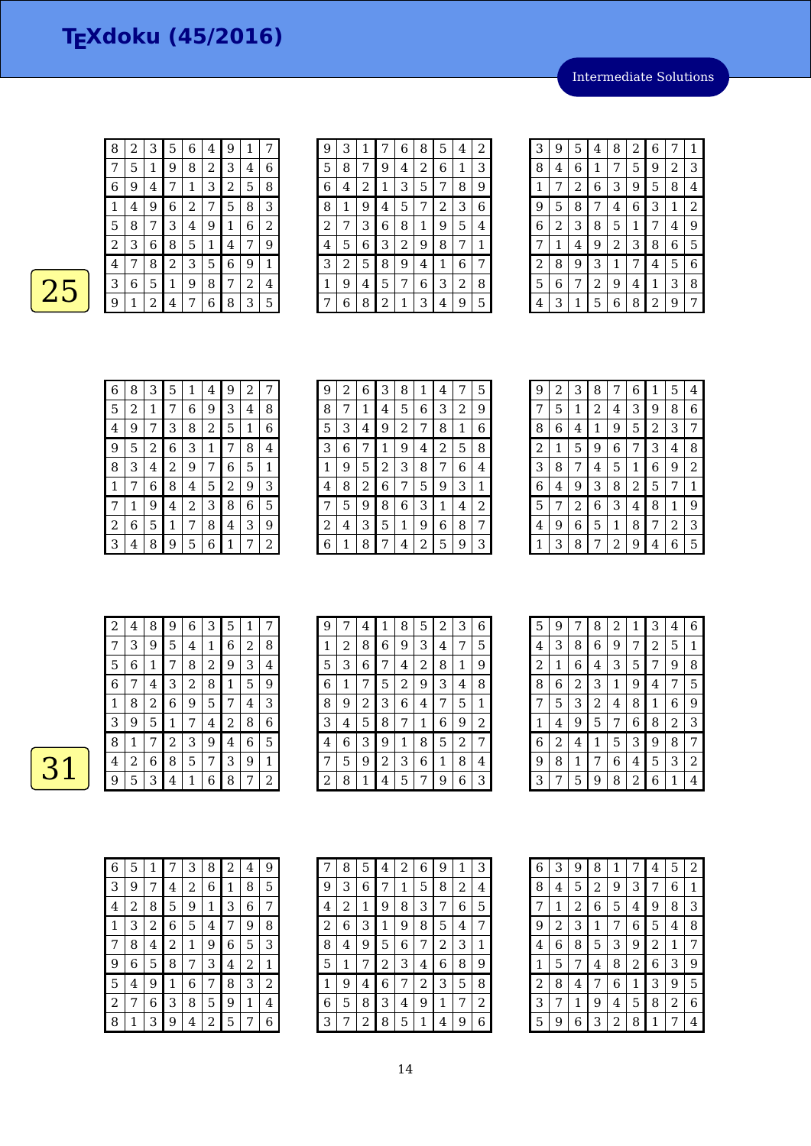Intermediate Solutions

| 8 | 2 | 3 | 5 | 6 | 4 | 9 | 1 |   |
|---|---|---|---|---|---|---|---|---|
| 7 | 5 | 1 | 9 | 8 | 2 | 3 | 4 | 6 |
| 6 | 9 | 4 | 7 | 1 | 3 | 2 | 5 | 8 |
| 1 | 4 | 9 | 6 | 2 | 7 | 5 | 8 | 3 |
| 5 | 8 | 7 | 3 | 4 | 9 | 1 | 6 | 2 |
| 2 | З | 6 | 8 | 5 | 1 | 4 | 7 | 9 |
| 4 | 7 | 8 | 2 | 3 | 5 | 6 | 9 | 1 |
| 3 | 6 | 5 | 1 | 9 | 8 | 7 | 2 | 4 |
| 9 | 1 | 2 | 4 | 7 | 6 | 8 | 3 | 5 |

| 9 | 3 | 1 |   | 6 | 8 | 5 | 4 | $\boldsymbol{2}$ |
|---|---|---|---|---|---|---|---|------------------|
| 5 | 8 | 7 | 9 | 4 | 2 | 6 | 1 | З                |
| 6 | 4 | 2 | 1 | З | 5 | 7 | 8 | 9                |
| 8 | 1 | 9 | 4 | 5 | 7 | 2 | 3 | 6                |
| 2 | 7 | З | 6 | 8 | 1 | 9 | 5 | 4                |
| 4 | 5 | 6 | З | 2 | 9 | 8 | 7 | 1                |
| З | 2 | 5 | 8 | 9 | 4 | 1 | 6 | 7                |
| 1 | 9 | 4 | 5 | 7 | 6 | З | 2 | 8                |
|   | 6 | 8 | 2 | 1 | 3 | 4 | 9 | 5                |

| 3 | 9 | 5 | 4 | 8 | 2 | 6 | 7 | 1 |
|---|---|---|---|---|---|---|---|---|
| 8 | 4 | 6 | 1 | 7 | 5 | 9 | 2 | 3 |
| 1 | 7 | 2 | 6 | З | 9 | 5 | 8 | 4 |
| 9 | 5 | 8 | 7 | 4 | 6 | 3 | 1 | 2 |
| 6 | 2 | 3 | 8 | 5 | 1 | 7 | 4 | 9 |
| 7 | 1 | 4 | 9 | 2 | 3 | 8 | 6 | 5 |
| 2 | 8 | 9 | 3 | 1 | 7 | 4 | 5 | 6 |
| 5 | 6 | 7 | 2 | 9 | 4 | 1 | 3 | 8 |
| 4 | З |   | 5 | 6 | 8 | 2 | 9 | 7 |

| 6 | 8 | З | 5 | 1              | 4 | 9 | 2 | 7 |
|---|---|---|---|----------------|---|---|---|---|
| 5 | 2 | 1 |   | 6              | 9 | 3 | 4 | 8 |
| 4 | 9 |   | 3 | 8              | 2 | 5 | 1 | 6 |
| 9 | 5 | 2 | 6 | 3              | 1 | 7 | 8 | 4 |
| 8 | З | 4 | 2 | 9              | 7 | 6 | 5 | 1 |
| 1 | 7 | 6 | 8 | 4              | 5 | 2 | 9 | З |
| 7 | 1 | 9 | 4 | $\overline{2}$ | 3 | 8 | 6 | 5 |
| 2 | 6 | 5 | 1 | 7              | 8 | 4 | 3 | 9 |
| З | 4 | 8 | 9 | 5              | 6 |   |   | 2 |

| 9 | 2 | 6 | 3              | 8 | 1 | 4 | 7 | 5 |
|---|---|---|----------------|---|---|---|---|---|
| 8 | 7 | 1 | 4              | 5 | 6 | 3 | 2 | 9 |
| 5 | 3 | 4 | 9              | 2 | 7 | 8 | 1 | 6 |
| 3 | 6 | 7 | 1              | 9 | 4 | 2 | 5 | 8 |
| 1 | 9 | 5 | $\overline{c}$ | 3 | 8 | 7 | 6 | 4 |
| 4 | 8 | 2 | 6              | 7 | 5 | 9 | 3 | 1 |
| 7 | 5 | 9 | 8              | 6 | 3 | 1 | 4 | 2 |
| 2 | 4 | 3 | 5              | 1 | 9 | 6 | 8 | 7 |
| 6 | 1 | 8 | 7              | 4 | 2 | 5 | 9 | 3 |

| 9              | 2 | З | 8 |   | 6 | 1 | 5 | 4              |
|----------------|---|---|---|---|---|---|---|----------------|
| 7              | 5 | 1 | 2 | 4 | З | 9 | 8 | 6              |
| 8              | 6 | 4 | 1 | 9 | 5 | 2 | 3 | 7              |
| $\overline{c}$ | 1 | 5 | 9 | 6 | 7 | 3 | 4 | 8              |
| 3              | 8 | 7 | 4 | 5 | 1 | 6 | 9 | $\overline{2}$ |
| 6              | 4 | 9 | З | 8 | 2 | 5 | 7 | 1              |
| 5              | 7 | 2 | 6 | 3 | 4 | 8 | 1 | 9              |
| 4              | 9 | 6 | 5 | 1 | 8 | 7 | 2 | 3              |
| 1              | 3 | 8 |   | 2 | 9 | 4 | 6 | 5              |

| 2 | 4 | 8 | 9 | 6 | З | 5 | 1 |   |
|---|---|---|---|---|---|---|---|---|
| 7 | 3 | 9 | 5 | 4 | 1 | 6 | 2 | 8 |
| 5 | 6 | 1 | 7 | 8 | 2 | 9 | 3 | 4 |
| 6 | 7 | 4 | 3 | 2 | 8 | 1 | 5 | 9 |
| 1 | 8 | 2 | 6 | 9 | 5 | 7 | 4 | 3 |
| З | 9 | 5 | 1 | 7 | 4 | 2 | 8 | 6 |
| 8 | 1 | 7 | 2 | З | 9 | 4 | 6 | 5 |
| 4 | 2 | 6 | 8 | 5 | 7 | 3 | 9 | 1 |
| 9 | 5 | 3 | 4 | 1 | 6 | 8 | 7 | 2 |

| 9 | 7 | 4 | 1 | 8              | 5 | 2 | 3 | 6 |
|---|---|---|---|----------------|---|---|---|---|
| 1 | 2 | 8 | 6 | 9              | 3 | 4 | 7 | 5 |
| 5 | 3 | 6 | 7 | $\overline{4}$ | 2 | 8 | 1 | 9 |
| 6 | 1 |   | 5 | $\overline{c}$ | 9 | 3 | 4 | 8 |
| 8 | 9 | 2 | 3 | 6              | 4 | 7 | 5 | 1 |
| З | 4 | 5 | 8 | 7              | 1 | 6 | 9 | 2 |
| 4 | 6 | 3 | 9 | 1              | 8 | 5 | 2 | 7 |
|   | 5 | 9 | 2 | 3              | 6 | 1 | 8 | 4 |
| 2 | 8 | 1 | 4 | 5              | 7 | 9 | 6 | 3 |

| 5              | 9 | 7 | 8 | 2 | 1 | 3 | 4 | 6 |
|----------------|---|---|---|---|---|---|---|---|
| 4              | 3 | 8 | 6 | 9 | 7 | 2 | 5 | 1 |
| $\overline{c}$ | 1 | 6 | 4 | 3 | 5 | 7 | 9 | 8 |
| 8              | 6 | 2 | 3 | 1 | 9 | 4 | 7 | 5 |
| 7              | 5 | 3 | 2 | 4 | 8 | 1 | 6 | 9 |
| 1              | 4 | 9 | 5 | 7 | 6 | 8 | 2 | 3 |
| 6              | 2 | 4 | 1 | 5 | 3 | 9 | 8 | 7 |
| 9              | 8 | 1 | 7 | 6 | 4 | 5 | 3 | 2 |
| 3              | 7 | 5 | 9 | 8 | 2 | 6 | 1 |   |

| 6              | 5 | 1 |   | 3 | 8 | 2 | 4 | 9 |
|----------------|---|---|---|---|---|---|---|---|
| 3              | 9 | 7 | 4 | 2 | 6 | 1 | 8 | 5 |
| 4              | 2 | 8 | 5 | 9 | 1 | З | 6 | 7 |
| 1              | З | 2 | 6 | 5 | 4 | 7 | 9 | 8 |
| 7              | 8 | 4 | 2 | 1 | 9 | 6 | 5 | 3 |
| 9              | 6 | 5 | 8 | 7 | 3 | 4 | 2 | 1 |
| 5              | 4 | 9 | 1 | 6 | 7 | 8 | 3 | 2 |
| $\overline{c}$ | 7 | 6 | 3 | 8 | 5 | 9 | 1 | 4 |
| 8              |   | 3 | 9 | 4 | 2 | 5 |   | 6 |

| 7              | 8 | 5            | 4 | 2 | 6 | 9 | 1 | 3 |
|----------------|---|--------------|---|---|---|---|---|---|
| 9              | З | 6            | 7 | 1 | 5 | 8 | 2 | 4 |
| $\overline{4}$ | 2 | $\mathbf{1}$ | 9 | 8 | 3 |   | 6 | 5 |
| 2              | 6 | 3            | 1 | 9 | 8 | 5 | 4 | 7 |
| 8              | 4 | 9            | 5 | 6 | 7 | 2 | 3 | 1 |
| 5              | 1 | 7            | 2 | З | 4 | 6 | 8 | 9 |
| 1              | 9 | 4            | 6 | 7 | 2 | 3 | 5 | 8 |
| 6              | 5 | 8            | З | 4 | 9 | 1 | 7 | 2 |
| З              |   | 2            | 8 | 5 | 1 | 4 | 9 | 6 |

| 6 | 3 | 9              | 8 | 1 | 7 | 4 | 5 | 2 |
|---|---|----------------|---|---|---|---|---|---|
| 8 | 4 | 5              | 2 | 9 | З | 7 | 6 | 1 |
| 7 | 1 | $\overline{c}$ | 6 | 5 | 4 | 9 | 8 | 3 |
| 9 | 2 | 3              | 1 | 7 | 6 | 5 | 4 | 8 |
| 4 | 6 | 8              | 5 | 3 | 9 | 2 | 1 | 7 |
| 1 | 5 | 7              | 4 | 8 | 2 | 6 | 3 | 9 |
| 2 | 8 | 4              | 7 | 6 | 1 | 3 | 9 | 5 |
| 3 | 7 | 1              | 9 | 4 | 5 | 8 | 2 | 6 |
| 5 | 9 | 6              | З | 2 | 8 | 1 | 7 | 4 |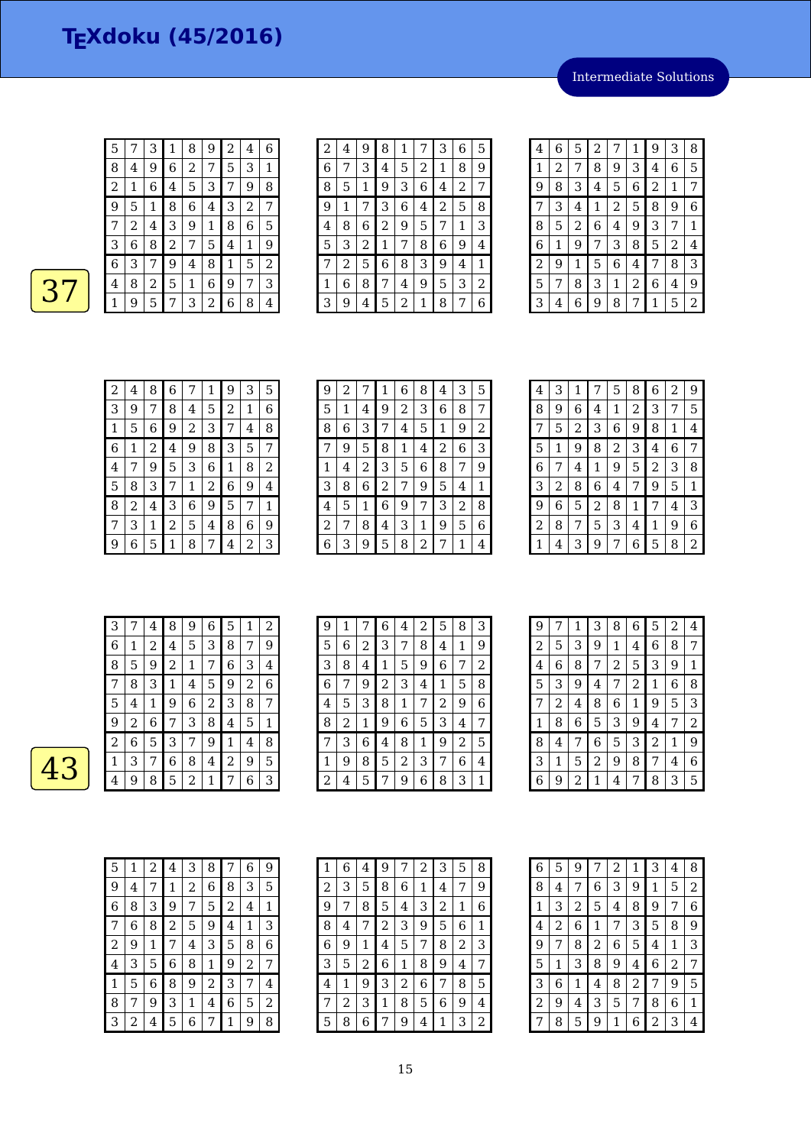Intermediate Solutions

| 8 | 4 | 9 | 6 | 2 |                | 5            | 3 | 1              |
|---|---|---|---|---|----------------|--------------|---|----------------|
| 2 | 1 | 6 | 4 | 5 | 3              | 7            | 9 | 8              |
| 9 | 5 | 1 | 8 | 6 | 4              | 3            | 2 | 7              |
|   | 2 | 4 | 3 | 9 | 1              | 8            | 6 | 5              |
| 3 | 6 | 8 | 2 | 7 | 5              | 4            | 1 | 9              |
| 6 | 3 | 7 | 9 | 4 | 8              | $\mathbf{1}$ | 5 | $\overline{2}$ |
| 4 | 8 | 2 | 5 | 1 | 6              | 9            | 7 | 3              |
|   | 9 | 5 | 7 | З | $\overline{2}$ | 6            | 8 | 4              |

7 3 1 8 9 2 4 6

| $\overline{c}$ | 4 | 9 | 8 | 1 |   | 3 | 6              | 5 |
|----------------|---|---|---|---|---|---|----------------|---|
| 6              | 7 | З | 4 | 5 | 2 | 1 | 8              | 9 |
| 8              | 5 | 1 | 9 | З | 6 | 4 | $\overline{c}$ | 7 |
| 9              | 1 | 7 | 3 | 6 | 4 | 2 | 5              | 8 |
| 4              | 8 | 6 | 2 | 9 | 5 | 7 | 1              | З |
| 5              | 3 | 2 | 1 | 7 | 8 | 6 | 9              | 4 |
| 7              | 2 | 5 | 6 | 8 | З | 9 | 4              | 1 |
| 1              | 6 | 8 | 7 | 4 | 9 | 5 | 3              | 2 |
| 3              | 9 | 4 | 5 | 2 | 1 | 8 | 7              | 6 |

| 4 | 6 | 5 | $\overline{c}$ | 7              | 1              | 9 | 3 | 8 |
|---|---|---|----------------|----------------|----------------|---|---|---|
| 1 | 2 | 7 | 8              | 9              | 3              | 4 | 6 | 5 |
| 9 | 8 | 3 | 4              | 5              | 6              | 2 | 1 | 7 |
| 7 | 3 | 4 | 1              | $\overline{c}$ | 5              | 8 | 9 | 6 |
| 8 | 5 | 2 | 6              | 4              | 9              | 3 | 7 | 1 |
| 6 | 1 | 9 | 7              | 3              | 8              | 5 | 2 | 4 |
| 2 | 9 | 1 | 5              | 6              | 4              | 7 | 8 | 3 |
| 5 | 7 | 8 | 3              | 1              | $\overline{c}$ | 6 | 4 | 9 |
| 3 | 4 | 6 | 9              | 8              | 7              | 1 | 5 | 2 |

| $\overline{c}$ | 4 | 8 | 6 | 7 | 1 | 9 | 3 | 5 |
|----------------|---|---|---|---|---|---|---|---|
| 3              | 9 |   | 8 | 4 | 5 | 2 | 1 | 6 |
| 1              | 5 | 6 | 9 | 2 | 3 | 7 | 4 | 8 |
| 6              | 1 | 2 | 4 | 9 | 8 | 3 | 5 | 7 |
| 4              | 7 | 9 | 5 | 3 | 6 | 1 | 8 | 2 |
| 5              | 8 | З | 7 | 1 | 2 | 6 | 9 | 4 |
| 8              | 2 | 4 | 3 | 6 | 9 | 5 | 7 | 1 |
| 7              | З | 1 | 2 | 5 | 4 | 8 | 6 | 9 |
| 9              | 6 | 5 | 1 | 8 | 7 | 4 | 2 | 3 |

| 9 | 2 | 7 | 1 | 6 | 8 | 4 | 3 | 5 |
|---|---|---|---|---|---|---|---|---|
| 5 | 1 | 4 | 9 | 2 | 3 | 6 | 8 | 7 |
| 8 | 6 | 3 | 7 | 4 | 5 | 1 | 9 | 2 |
|   | 9 | 5 | 8 | 1 | 4 | 2 | 6 | 3 |
| 1 | 4 | 2 | 3 | 5 | 6 | 8 | 7 | 9 |
| 3 | 8 | 6 | 2 | 7 | 9 | 5 | 4 | 1 |
| 4 | 5 | 1 | 6 | 9 | 7 | 3 | 2 | 8 |
| 2 | 7 | 8 | 4 | 3 | 1 | 9 | 5 | 6 |
| 6 | З | 9 | 5 | 8 | 2 | 7 | 1 | 4 |

| 3<br>2<br>9<br>5<br>8<br>6<br>1<br>4<br>8<br>5<br>2<br>6<br>1<br>3<br>9<br>7<br>4<br>2<br>3<br>8<br>7<br>5<br>6<br>1<br>9<br>4<br>3<br>8<br>2<br>5<br>1<br>6<br>9<br>7<br>4<br>6<br>3<br>8<br>5<br>9<br>2<br>7<br>1<br>4<br>3<br>2<br>5<br>1<br>8<br>6<br>9<br>7<br>4<br>3<br>9<br>2<br>8<br>$\boldsymbol{6}$<br>5<br>1<br>7<br>4<br>2<br>6<br>8<br>3<br>9<br>7<br>5<br>1<br>4 |   |   |   |   |   |   |   |                |
|--------------------------------------------------------------------------------------------------------------------------------------------------------------------------------------------------------------------------------------------------------------------------------------------------------------------------------------------------------------------------------|---|---|---|---|---|---|---|----------------|
|                                                                                                                                                                                                                                                                                                                                                                                |   |   |   |   |   |   |   |                |
|                                                                                                                                                                                                                                                                                                                                                                                |   |   |   |   |   |   |   |                |
|                                                                                                                                                                                                                                                                                                                                                                                |   |   |   |   |   |   |   |                |
|                                                                                                                                                                                                                                                                                                                                                                                |   |   |   |   |   |   |   |                |
|                                                                                                                                                                                                                                                                                                                                                                                |   |   |   |   |   |   |   |                |
|                                                                                                                                                                                                                                                                                                                                                                                |   |   |   |   |   |   |   |                |
|                                                                                                                                                                                                                                                                                                                                                                                |   |   |   |   |   |   |   |                |
|                                                                                                                                                                                                                                                                                                                                                                                |   |   |   |   |   |   |   |                |
|                                                                                                                                                                                                                                                                                                                                                                                | 1 | 4 | 3 | 9 | 6 | 5 | 8 | $\overline{2}$ |

| З |   | 4 | 8 | 9 | 6 | 5 | 1 | 2 |
|---|---|---|---|---|---|---|---|---|
| 6 | 1 | 2 | 4 | 5 | 3 | 8 | 7 | 9 |
| 8 | 5 | 9 | 2 | 1 | 7 | 6 | 3 | 4 |
|   | 8 | 3 | 1 | 4 | 5 | 9 | 2 | 6 |
| 5 | 4 | 1 | 9 | 6 | 2 | З | 8 | 7 |
| 9 | 2 | 6 | 7 | З | 8 | 4 | 5 | 1 |
| 2 | 6 | 5 | З | 7 | 9 | 1 | 4 | 8 |
| 1 | З | 7 | 6 | 8 | 4 | 2 | 9 | 5 |
| 4 | 9 | 8 | 5 | 2 | 1 | 7 | 6 | З |

| 9 | $\mathbf 1$ | 7 | 6 | 4 | $\overline{c}$ | 5 | 8 | 3 |
|---|-------------|---|---|---|----------------|---|---|---|
| 5 | 6           | 2 | 3 | 7 | 8              | 4 | 1 | 9 |
| 3 | 8           | 4 | 1 | 5 | 9              | 6 |   | 2 |
| 6 | 7           | 9 | 2 | 3 | 4              | 1 | 5 | 8 |
| 4 | 5           | 3 | 8 | 1 | 7              | 2 | 9 | 6 |
| 8 | 2           | 1 | 9 | 6 | 5              | 3 | 4 | 7 |
| 7 | 3           | 6 | 4 | 8 | 1              | 9 | 2 | 5 |
| 1 | 9           | 8 | 5 | 2 | 3              | 7 | 6 | 4 |
| 2 | 4           | 5 | 7 | 9 | 6              | 8 | 3 | 1 |

| 9 | 7 | 1 | 3 | 8 | 6 | 5 | 2 | 4 |
|---|---|---|---|---|---|---|---|---|
| 2 | 5 | 3 | 9 | 1 | 4 | 6 | 8 | 7 |
| 4 | 6 | 8 | 7 | 2 | 5 | 3 | 9 | 1 |
| 5 | 3 | 9 | 4 | 7 | 2 | 1 | 6 | 8 |
| 7 | 2 | 4 | 8 | 6 | 1 | 9 | 5 | 3 |
| 1 | 8 | 6 | 5 | 3 | 9 | 4 | 7 | 2 |
| 8 | 4 | 7 | 6 | 5 | 3 | 2 | 1 | 9 |
| 3 | 1 | 5 | 2 | 9 | 8 | 7 | 4 | 6 |
| 6 | 9 | 2 | 1 | 4 |   | 8 | 3 | 5 |

| 5 | 1 | 2 | 4 | 3 | 8 | 7              | 6 | 9      |
|---|---|---|---|---|---|----------------|---|--------|
| 9 | 4 | 7 | 1 | 2 | 6 | 8              | 3 | 5      |
| 6 | 8 | 3 | 9 | 7 | 5 | $\overline{c}$ | 4 | 1      |
| 7 | 6 | 8 | 2 | 5 | 9 | 4              | 1 | 3      |
| 2 | 9 | 1 | 7 | 4 | 3 | 5              | 8 | 6      |
| 4 | 3 | 5 | 6 | 8 | 1 | 9              | 2 | 7      |
| 1 | 5 | 6 | 8 | 9 | 2 | 3              | 7 | 4      |
| 8 | 7 | 9 | 3 | 1 | 4 | 6              | 5 | 2      |
| 3 | 2 | 4 | 5 | 6 | 7 | 1              | 9 | $\, 8$ |

| 1 | 6 | 4 | 9              |   | 2 | 3 | 5 | 8 |
|---|---|---|----------------|---|---|---|---|---|
| 2 | З | 5 | 8              | 6 | 1 | 4 | 7 | 9 |
| 9 | 7 | 8 | 5              | 4 | 3 | 2 | 1 | 6 |
| 8 | 4 | 7 | 2              | 3 | 9 | 5 | 6 | 1 |
| 6 | 9 | 1 | $\overline{4}$ | 5 |   | 8 | 2 | 3 |
| 3 | 5 | 2 | 6              | 1 | 8 | 9 | 4 | 7 |
| 4 | 1 | 9 | 3              | 2 | 6 | 7 | 8 | 5 |
| 7 | 2 | 3 | 1              | 8 | 5 | 6 | 9 | 4 |
| 5 | 8 | 6 | 7              | 9 | 4 | 1 | 3 | 2 |

| 6 | 5 | 9 | 7 | 2 | 1 | 3 | 4 | 8 |
|---|---|---|---|---|---|---|---|---|
| 8 | 4 | 7 | 6 | З | 9 | 1 | 5 | 2 |
| 1 | З | 2 | 5 | 4 | 8 | 9 | 7 | 6 |
| 4 | 2 | 6 | 1 | 7 | 3 | 5 | 8 | 9 |
| 9 | 7 | 8 | 2 | 6 | 5 | 4 | 1 | 3 |
| 5 | 1 | 3 | 8 | 9 | 4 | 6 | 2 | 7 |
| З | 6 | 1 | 4 | 8 | 2 | 7 | 9 | 5 |
| 2 | 9 | 4 | 3 | 5 | 7 | 8 | 6 | 1 |
| 7 | 8 | 5 | 9 | 1 | 6 | 2 | 3 | 4 |